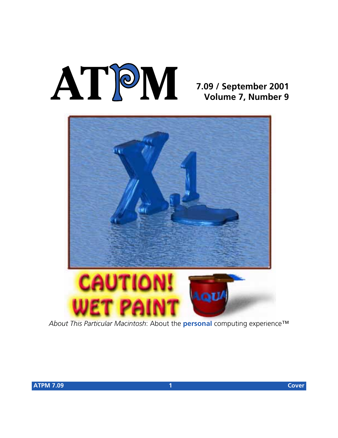# **AT**P**M**

### **7.09 / September 2001 Volume 7, Number 9**



*About This Particular Macintosh*: About the **personal** computing experience™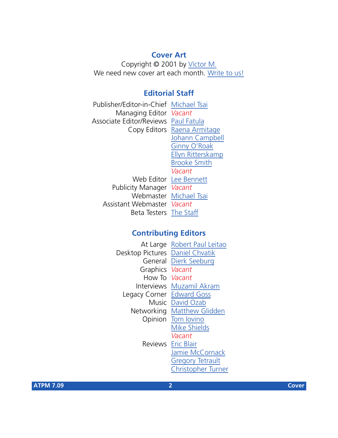### **Cover Art**

Copyright © 2001 by [Víctor M.](mailto:vickmsgmex@yahoo.com) We need new cover art each month. [Write to us!](mailto:cover-art@atpm.com)

### **Editorial Staff**

Publisher/Editor-in-Chief [Michael Tsai](mailto:mtsai@atpm.com) Managing Editor *Vacant* Associate Editor/Reviews [Paul Fatula](mailto:pfatula@atpm.com) Copy Editors [Raena Armitage](mailto:rarmitage@atpm.com) [Johann Campbell](mailto:jcampbell@atpm.com) [Ginny O'Roak](mailto:goroak@atpm.com) [Ellyn Ritterskamp](mailto:eritterskamp@atpm.com) [Brooke Smith](mailto:bsmith@atpm.com) *Vacant* Web Editor [Lee Bennett](mailto:lbennett@atpm.com) Publicity Manager *Vacant* Webmaster [Michael Tsai](mailto:mtsai@atpm.com) Assistant Webmaster *Vacant* Beta Testers [The Staff](mailto:editor@atpm.com)

### **Contributing Editors**

|                                 | At Large Robert Paul Leitao     |
|---------------------------------|---------------------------------|
| Desktop Pictures Daniel Chvatik |                                 |
|                                 | General Dierk Seeburg           |
| Graphics Vacant                 |                                 |
| How To Vacant                   |                                 |
|                                 | <b>Interviews</b> Muzamil Akram |
| Legacy Corner                   | <b>Edward Goss</b>              |
|                                 | Music David Ozab                |
|                                 | Networking Matthew Glidden      |
|                                 | Opinion Tom lovino              |
|                                 | <b>Mike Shields</b>             |
|                                 | Vacant                          |
|                                 | Reviews Eric Blair              |
|                                 | Jamie McCornack                 |
|                                 | <b>Gregory Tetrault</b>         |
|                                 | <b>Christopher Turner</b>       |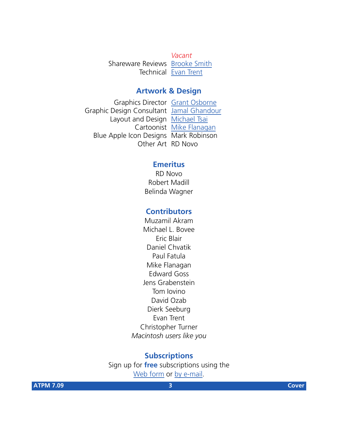*Vacant* Shareware Reviews [Brooke Smith](mailto:bsmith@atpm.com) Technical [Evan Trent](mailto:etrent@atpm.com)

### **Artwork & Design**

Graphics Director [Grant Osborne](mailto:gosborne@atpm.com) Graphic Design Consultant [Jamal Ghandour](mailto:jghandour@atpm.com) Layout and Design [Michael Tsai](mailto:mtsai@atpm.com) Cartoonist [Mike Flanagan](mailto:sensible@sensible.screaming.net) Blue Apple Icon Designs Mark Robinson Other Art RD Novo

### **Emeritus**

RD Novo Robert Madill Belinda Wagner

### **Contributors**

Muzamil Akram Michael L. Bovee Eric Blair Daniel Chvatik Paul Fatula Mike Flanagan Edward Goss Jens Grabenstein Tom Iovino David Ozab Dierk Seeburg Evan Trent Christopher Turner *Macintosh users like you*

### **Subscriptions**

Sign up for **free** subscriptions using the [Web form](http://www.atpm.com/subscribe/) or [by e-mail.](mailto:subscriptions@atpm.com)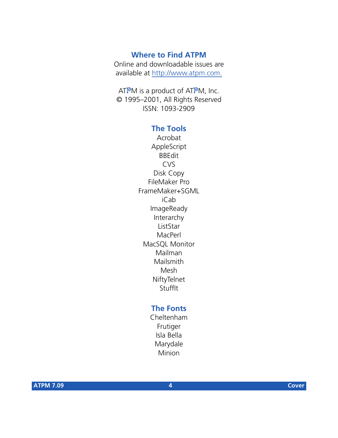### **Where to Find ATPM**

Online and downloadable issues are available at [http://www.atpm.com.](http://www.atpm.com)

ATPM is a product of ATPM, Inc. © 1995–2001, All Rights Reserved ISSN: 1093-2909

### **The Tools**

Acrobat AppleScript BBEdit CVS Disk Copy FileMaker Pro FrameMaker+SGML iCab ImageReady Interarchy ListStar MacPerl MacSQL Monitor Mailman Mailsmith Mesh **NiftyTelnet** StuffIt

### **The Fonts**

Cheltenham Frutiger Isla Bella Marydale Minion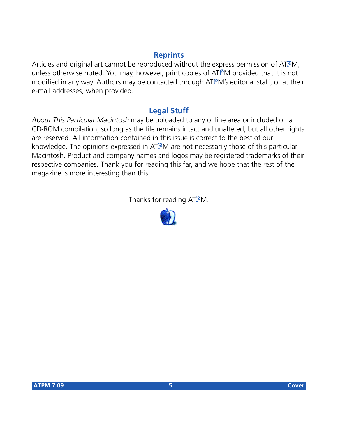### **Reprints**

Articles and original art cannot be reproduced without the express permission of ATPM, unless otherwise noted. You may, however, print copies of ATPM provided that it is not modified in any way. Authors may be contacted through ATPM's editorial staff, or at their e-mail addresses, when provided.

### **Legal Stuff**

*About This Particular Macintosh* may be uploaded to any online area or included on a CD-ROM compilation, so long as the file remains intact and unaltered, but all other rights are reserved. All information contained in this issue is correct to the best of our knowledge. The opinions expressed in ATPM are not necessarily those of this particular Macintosh. Product and company names and logos may be registered trademarks of their respective companies. Thank you for reading this far, and we hope that the rest of the magazine is more interesting than this.

Thanks for reading ATPM.

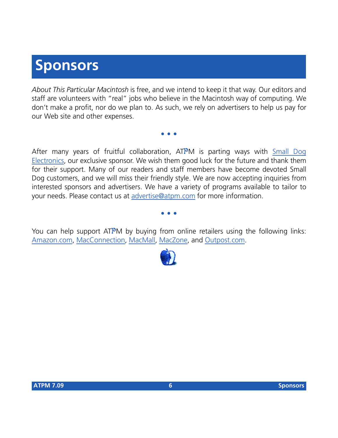## **Sponsors**

*About This Particular Macintosh* is free, and we intend to keep it that way. Our editors and staff are volunteers with "real" jobs who believe in the Macintosh way of computing. We don't make a profit, nor do we plan to. As such, we rely on advertisers to help us pay for our Web site and other expenses.

**• • •**

After many years of fruitful collaboration, ATPM is parting ways with [Small Dog](http://www.smalldog.com) [Electronics,](http://www.smalldog.com) our exclusive sponsor. We wish them good luck for the future and thank them for their support. Many of our readers and staff members have become devoted Small Dog customers, and we will miss their friendly style. We are now accepting inquiries from interested sponsors and advertisers. We have a variety of programs available to tailor to your needs. Please contact us at [advertise@atpm.com](mailto:advertise@atpm.com) for more information.

**• • •**

You can help support ATPM by buying from online retailers using the following links: [Amazon.com](http://www.amazon.com/exec/obidos/redirect-home/aboutthisparticu), [MacConnection](http://service.bfast.com/bfast/click/mid9452939?siteid=13311227&bfpage=machomepage), [MacMall](http://www.commission-junction.com/track/track.dll?AID=53427&PID=297078&URL=http%3A%2F%2Fwww%2Emacmall%2Ecom%2Fmacaffiliate), [MacZone,](http://service.bfast.com/bfast/click?bfmid=1942029&siteid=26240435&bfpage=mac_zone) and [Outpost.com.](http://www.linksynergy.com/fs-bin/stat?id=N00D3BtDeo0&offerid=2161&type=3)

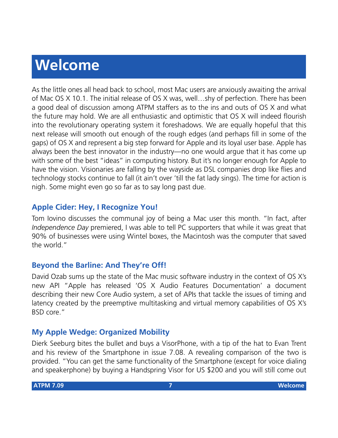# **Welcome**

As the little ones all head back to school, most Mac users are anxiously awaiting the arrival of Mac OS X 10.1. The initial release of OS X was, well…shy of perfection. There has been a good deal of discussion among ATPM staffers as to the ins and outs of OS X and what the future may hold. We are all enthusiastic and optimistic that OS X will indeed flourish into the revolutionary operating system it foreshadows. We are equally hopeful that this next release will smooth out enough of the rough edges (and perhaps fill in some of the gaps) of OS X and represent a big step forward for Apple and its loyal user base. Apple has always been the best innovator in the industry—no one would argue that it has come up with some of the best "ideas" in computing history. But it's no longer enough for Apple to have the vision. Visionaries are falling by the wayside as DSL companies drop like flies and technology stocks continue to fall (it ain't over 'till the fat lady sings). The time for action is nigh. Some might even go so far as to say long past due.

### **Apple Cider: Hey, I Recognize You!**

Tom Iovino discusses the communal joy of being a Mac user this month. "In fact, after *Independence Day* premiered, I was able to tell PC supporters that while it was great that 90% of businesses were using Wintel boxes, the Macintosh was the computer that saved the world."

### **Beyond the Barline: And They're Off!**

David Ozab sums up the state of the Mac music software industry in the context of OS X's new API "Apple has released 'OS X Audio Features Documentation' a document describing their new Core Audio system, a set of APIs that tackle the issues of timing and latency created by the preemptive multitasking and virtual memory capabilities of OS X's BSD core."

### **My Apple Wedge: Organized Mobility**

Dierk Seeburg bites the bullet and buys a VisorPhone, with a tip of the hat to Evan Trent and his review of the Smartphone in issue 7.08. A revealing comparison of the two is provided. "You can get the same functionality of the Smartphone (except for voice dialing and speakerphone) by buying a Handspring Visor for US \$200 and you will still come out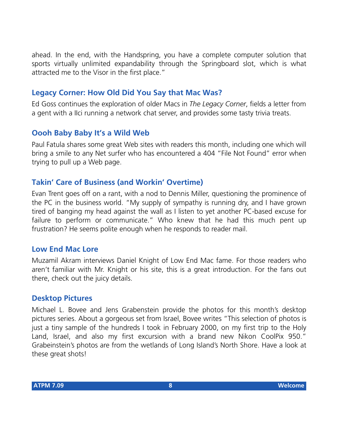ahead. In the end, with the Handspring, you have a complete computer solution that sports virtually unlimited expandability through the Springboard slot, which is what attracted me to the Visor in the first place."

### **Legacy Corner: How Old Did You Say that Mac Was?**

Ed Goss continues the exploration of older Macs in *The Legacy Corner*, fields a letter from a gent with a IIci running a network chat server, and provides some tasty trivia treats.

### **Oooh Baby Baby It's a Wild Web**

Paul Fatula shares some great Web sites with readers this month, including one which will bring a smile to any Net surfer who has encountered a 404 "File Not Found" error when trying to pull up a Web page.

### **Takin' Care of Business (and Workin' Overtime)**

Evan Trent goes off on a rant, with a nod to Dennis Miller, questioning the prominence of the PC in the business world. "My supply of sympathy is running dry, and I have grown tired of banging my head against the wall as I listen to yet another PC-based excuse for failure to perform or communicate." Who knew that he had this much pent up frustration? He seems polite enough when he responds to reader mail.

### **Low End Mac Lore**

Muzamil Akram interviews Daniel Knight of Low End Mac fame. For those readers who aren't familiar with Mr. Knight or his site, this is a great introduction. For the fans out there, check out the juicy details.

### **Desktop Pictures**

Michael L. Bovee and Jens Grabenstein provide the photos for this month's desktop pictures series. About a gorgeous set from Israel, Bovee writes "This selection of photos is just a tiny sample of the hundreds I took in February 2000, on my first trip to the Holy Land, Israel, and also my first excursion with a brand new Nikon CoolPix 950." Grabeinstein's photos are from the wetlands of Long Island's North Shore. Have a look at these great shots!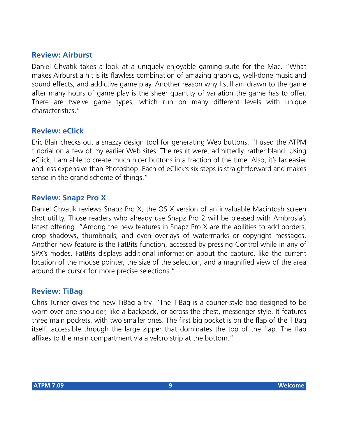### **Review: Airburst**

Daniel Chvatik takes a look at a uniquely enjoyable gaming suite for the Mac. "What makes Airburst a hit is its flawless combination of amazing graphics, well-done music and sound effects, and addictive game play. Another reason why I still am drawn to the game after many hours of game play is the sheer quantity of variation the game has to offer. There are twelve game types, which run on many different levels with unique characteristics."

### **Review: eClick**

Eric Blair checks out a snazzy design tool for generating Web buttons. "I used the ATPM tutorial on a few of my earlier Web sites. The result were, admittedly, rather bland. Using eClick, I am able to create much nicer buttons in a fraction of the time. Also, it's far easier and less expensive than Photoshop. Each of eClick's six steps is straightforward and makes sense in the grand scheme of things."

### **Review: Snapz Pro X**

Daniel Chvatik reviews Snapz Pro X, the OS X version of an invaluable Macintosh screen shot utility. Those readers who already use Snapz Pro 2 will be pleased with Ambrosia's latest offering. "Among the new features in Snapz Pro X are the abilities to add borders, drop shadows, thumbnails, and even overlays of watermarks or copyright messages. Another new feature is the FatBits function, accessed by pressing Control while in any of SPX's modes. FatBits displays additional information about the capture, like the current location of the mouse pointer, the size of the selection, and a magnified view of the area around the cursor for more precise selections."

### **Review: TiBag**

Chris Turner gives the new TiBag a try. "The TiBag is a courier-style bag designed to be worn over one shoulder, like a backpack, or across the chest, messenger style. It features three main pockets, with two smaller ones. The first big pocket is on the flap of the TiBag itself, accessible through the large zipper that dominates the top of the flap. The flap affixes to the main compartment via a velcro strip at the bottom."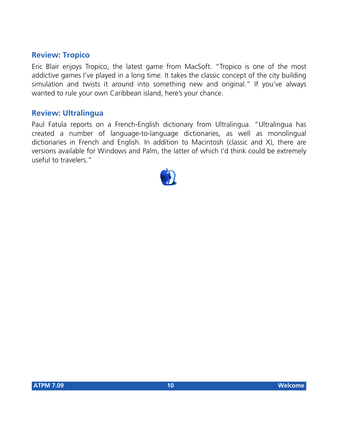### **Review: Tropico**

Eric Blair enjoys Tropico, the latest game from MacSoft. "Tropico is one of the most addictive games I've played in a long time. It takes the classic concept of the city building simulation and twists it around into something new and original." If you've always wanted to rule your own Caribbean island, here's your chance.

### **Review: Ultralingua**

Paul Fatula reports on a French-English dictionary from Ultralingua. "Ultralingua has created a number of language-to-language dictionaries, as well as monolingual dictionaries in French and English. In addition to Macintosh (classic and X), there are versions available for Windows and Palm, the latter of which I'd think could be extremely useful to travelers."

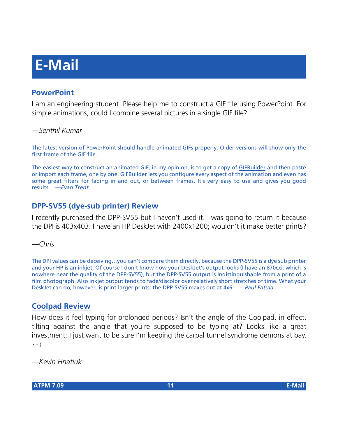# **E-Mail**

### **PowerPoint**

I am an engineering student. Please help me to construct a GIF file using PowerPoint. For simple animations, could I combine several pictures in a single GIF file?

### *—Senthil Kumar*

The latest version of PowerPoint should handle animated GIFs properly. Older versions will show only the first frame of the GIF file.

The easiest way to construct an animated GIF, in my opinion, is to get a copy of [GIFBuilder](http://homepage.mac.com/piguet/gif.html) and then paste or import each frame, one by one. GIFBuilder lets you configure every aspect of the animation and even has some great filters for fading in and out, or between frames. It's very easy to use and gives you good results. *—Evan Trent*

### **[DPP-SV55 \(dye-sub printer\) Review](http://www.atpm.com/7.04/dpp-sv55.shtml)**

I recently purchased the DPP-SV55 but I haven't used it. I was going to return it because the DPI is 403x403. I have an HP DeskJet with 2400x1200; wouldn't it make better prints?

*—Chris*

The DPI values can be deceiving…you can't compare them directly, because the DPP-SV55 is a dye sub printer and your HP is an inkjet. Of course I don't know how your DeskJet's output looks (I have an 870cxi, which is nowhere near the quality of the DPP-SV55), but the DPP-SV55 output is indistinguishable from a print of a film photograph. Also inkjet output tends to fade/discolor over relatively short stretches of time. What your DeskJet can do, however, is print larger prints; the DPP-SV55 maxes out at 4x6. *—Paul Fatula*

### **[Coolpad Review](http://www.atpm.com/7.08/coolpad.shtml)**

How does it feel typing for prolonged periods? Isn't the angle of the Coolpad, in effect, tilting against the angle that you're supposed to be typing at? Looks like a great investment; I just want to be sure I'm keeping the carpal tunnel syndrome demons at bay. :-)

*—Kevin Hnatiuk*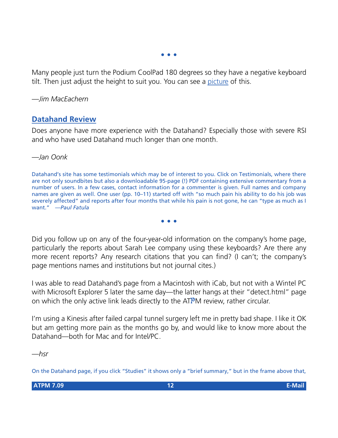**• • •**

Many people just turn the Podium CoolPad 180 degrees so they have a negative keyboard tilt. Then just adjust the height to suit you. You can see a [picture](http://www.roadtools.com/podium.html) of this.

*—Jim MacEachern*

### **[Datahand Review](http://www.atpm.com/7.05/datahand.shtml)**

Does anyone have more experience with the Datahand? Especially those with severe RSI and who have used Datahand much longer than one month.

*—Jan Oonk*

Datahand's site has some testimonials which may be of interest to you. Click on Testimonials, where there are not only soundbites but also a downloadable 95-page (!) PDF containing extensive commentary from a number of users. In a few cases, contact information for a commenter is given. Full names and company names are given as well. One user (pp. 10–11) started off with "so much pain his ability to do his job was severely affected" and reports after four months that while his pain is not gone, he can "type as much as I want." *—Paul Fatula*

**• • •**

Did you follow up on any of the four-year-old information on the company's home page, particularly the reports about Sarah Lee company using these keyboards? Are there any more recent reports? Any research citations that you can find? (I can't; the company's page mentions names and institutions but not journal cites.)

I was able to read Datahand's page from a Macintosh with iCab, but not with a Wintel PC with Microsoft Explorer 5 later the same day—the latter hangs at their "detect.html" page on which the only active link leads directly to the ATPM review, rather circular.

I'm using a Kinesis after failed carpal tunnel surgery left me in pretty bad shape. I like it OK but am getting more pain as the months go by, and would like to know more about the Datahand—both for Mac and for Intel/PC.

*—hsr*

On the Datahand page, if you click "Studies" it shows only a "brief summary," but in the frame above that,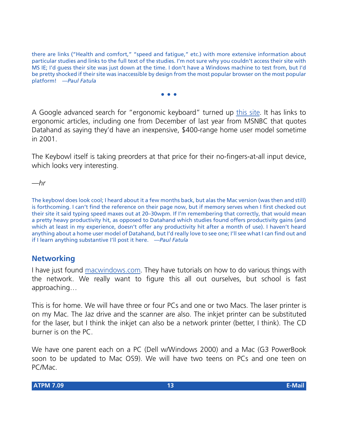there are links ("Health and comfort," "speed and fatigue," etc.) with more extensive information about particular studies and links to the full text of the studies. I'm not sure why you couldn't access their site with MS IE; I'd guess their site was just down at the time. I don't have a Windows machine to test from, but I'd be pretty shocked if their site was inaccessible by design from the most popular browser on the most popular platform! *—Paul Fatula*

**• • •**

A Google advanced search for "ergonomic keyboard" turned up [this site](http://www.keybowl.com/ergonomics/ergo_main.htm). It has links to ergonomic articles, including one from December of last year from MSNBC that quotes Datahand as saying they'd have an inexpensive, \$400-range home user model sometime in 2001.

The Keybowl itself is taking preorders at that price for their no-fingers-at-all input device, which looks very interesting.

*—hr*

The keybowl does look cool; I heard about it a few months back, but alas the Mac version (was then and still) is forthcoming. I can't find the reference on their page now, but if memory serves when I first checked out their site it said typing speed maxes out at 20–30wpm. If I'm remembering that correctly, that would mean a pretty heavy productivity hit, as opposed to Datahand which studies found offers productivity gains (and which at least in my experience, doesn't offer any productivity hit after a month of use). I haven't heard anything about a home user model of Datahand, but I'd really love to see one; I'll see what I can find out and if I learn anything substantive I'll post it here. *—Paul Fatula*

### **Networking**

I have just found [macwindows.com](http://www.macwindows.com). They have tutorials on how to do various things with the network. We really want to figure this all out ourselves, but school is fast approaching…

This is for home. We will have three or four PCs and one or two Macs. The laser printer is on my Mac. The Jaz drive and the scanner are also. The inkjet printer can be substituted for the laser, but I think the inkjet can also be a network printer (better, I think). The CD burner is on the PC.

We have one parent each on a PC (Dell w/Windows 2000) and a Mac (G3 PowerBook soon to be updated to Mac OS9). We will have two teens on PCs and one teen on PC/Mac.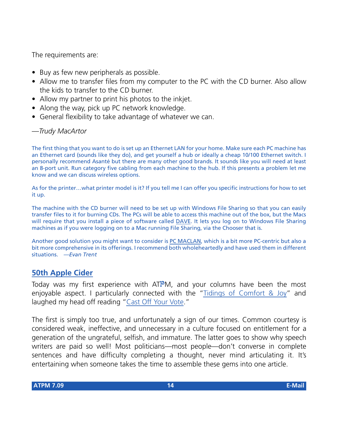The requirements are:

- Buy as few new peripherals as possible.
- Allow me to transfer files from my computer to the PC with the CD burner. Also allow the kids to transfer to the CD burner.
- Allow my partner to print his photos to the inkjet.
- Along the way, pick up PC network knowledge.
- General flexibility to take advantage of whatever we can.

### *—Trudy MacArtor*

The first thing that you want to do is set up an Ethernet LAN for your home. Make sure each PC machine has an Ethernet card (sounds like they do), and get yourself a hub or ideally a cheap 10/100 Ethernet switch. I personally recommend Asanté but there are many other good brands. It sounds like you will need at least an 8-port unit. Run category five cabling from each machine to the hub. If this presents a problem let me know and we can discuss wireless options.

As for the printer…what printer model is it? If you tell me I can offer you specific instructions for how to set it up.

The machine with the CD burner will need to be set up with Windows File Sharing so that you can easily transfer files to it for burning CDs. The PCs will be able to access this machine out of the box, but the Macs will require that you install a piece of software called [DAVE](http://www.thursby.com/). It lets you log on to Windows File Sharing machines as if you were logging on to a Mac running File Sharing, via the Chooser that is.

Another good solution you might want to consider is [PC MACLAN,](http://www.miramar.com/products/) which is a bit more PC-centric but also a bit more comprehensive in its offerings. I recommend both wholeheartedly and have used them in different situations. *—Evan Trent*

### **[50th Apple Cider](http://www.atpm.com/7.08/cider.shtml)**

Today was my first experience with ATPM, and your columns have been the most enjoyable aspect. I particularly connected with the ["Tidings of Comfort & Joy](http://www.atpm.com/6.12/cider.shtml)" and laughed my head off reading ["Cast Off Your Vote.](http://www.atpm.com/6.11/cider.shtml)"

The first is simply too true, and unfortunately a sign of our times. Common courtesy is considered weak, ineffective, and unnecessary in a culture focused on entitlement for a generation of the ungrateful, selfish, and immature. The latter goes to show why speech writers are paid so well! Most politicians—most people—don't converse in complete sentences and have difficulty completing a thought, never mind articulating it. It's entertaining when someone takes the time to assemble these gems into one article.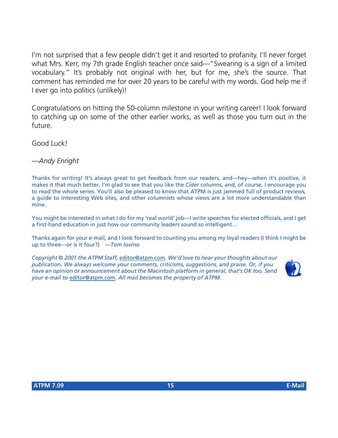I'm not surprised that a few people didn't get it and resorted to profanity. I'll never forget what Mrs. Kerr, my 7th grade English teacher once said—"Swearing is a sign of a limited vocabulary." It's probably not original with her, but for me, she's the source. That comment has reminded me for over 20 years to be careful with my words. God help me if I ever go into politics (unlikely)!

Congratulations on hitting the 50-column milestone in your writing career! I look forward to catching up on some of the other earlier works, as well as those you turn out in the future.

Good Luck!

*—Andy Enright*

Thanks for writing! It's always great to get feedback from our readers, and—hey—when it's positive, it makes it that much better. I'm glad to see that you like the *Cider* columns, and, of course, I encourage you to read the whole series. You'll also be pleased to know that ATPM is just jammed full of product reviews, a guide to interesting Web sites, and other columnists whose views are a lot more understandable than mine.

You might be interested in what I do for my 'real world' job—I write speeches for elected officials, and I get a first-hand education in just how our community leaders sound so intelligent…

Thanks again for your e-mail, and I look forward to counting you among my loyal readers (I think I might be up to three—or is it four?) *—Tom Iovino*

*Copyright © 2001 the ATPM Staff,* [editor@atpm.com](mailto:editor@atpm.com)*. We'd love to hear your thoughts about our publication. We always welcome your comments, criticisms, suggestions, and praise. Or, if you have an opinion or announcement about the Macintosh platform in general, that's OK too. Send your e-mail to* [editor@atpm.com](mailto:editor@atpm.com)*. All mail becomes the property of ATPM.*

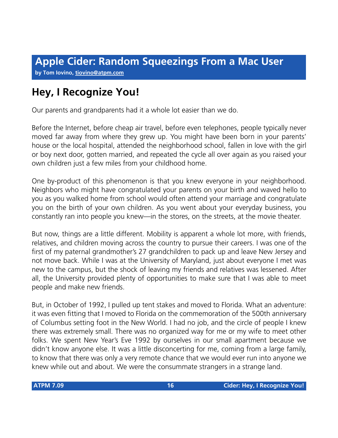### **by Tom Iovino, [tiovino@atpm.com](mailto:tiovino@atpm.com)**

### **Hey, I Recognize You!**

Our parents and grandparents had it a whole lot easier than we do.

Before the Internet, before cheap air travel, before even telephones, people typically never moved far away from where they grew up. You might have been born in your parents' house or the local hospital, attended the neighborhood school, fallen in love with the girl or boy next door, gotten married, and repeated the cycle all over again as you raised your own children just a few miles from your childhood home.

One by-product of this phenomenon is that you knew everyone in your neighborhood. Neighbors who might have congratulated your parents on your birth and waved hello to you as you walked home from school would often attend your marriage and congratulate you on the birth of your own children. As you went about your everyday business, you constantly ran into people you knew—in the stores, on the streets, at the movie theater.

But now, things are a little different. Mobility is apparent a whole lot more, with friends, relatives, and children moving across the country to pursue their careers. I was one of the first of my paternal grandmother's 27 grandchildren to pack up and leave New Jersey and not move back. While I was at the University of Maryland, just about everyone I met was new to the campus, but the shock of leaving my friends and relatives was lessened. After all, the University provided plenty of opportunities to make sure that I was able to meet people and make new friends.

But, in October of 1992, I pulled up tent stakes and moved to Florida. What an adventure: it was even fitting that I moved to Florida on the commemoration of the 500th anniversary of Columbus setting foot in the New World. I had no job, and the circle of people I knew there was extremely small. There was no organized way for me or my wife to meet other folks. We spent New Year's Eve 1992 by ourselves in our small apartment because we didn't know anyone else. It was a little disconcerting for me, coming from a large family, to know that there was only a very remote chance that we would ever run into anyone we knew while out and about. We were the consummate strangers in a strange land.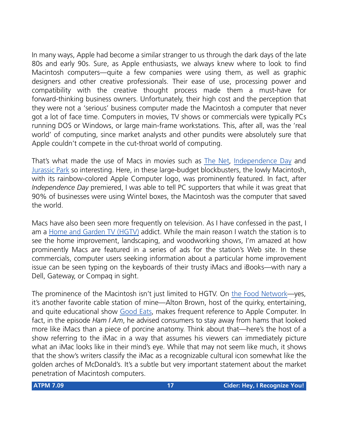In many ways, Apple had become a similar stranger to us through the dark days of the late 80s and early 90s. Sure, as Apple enthusiasts, we always knew where to look to find Macintosh computers—quite a few companies were using them, as well as graphic designers and other creative professionals. Their ease of use, processing power and compatibility with the creative thought process made them a must-have for forward-thinking business owners. Unfortunately, their high cost and the perception that they were not a 'serious' business computer made the Macintosh a computer that never got a lot of face time. Computers in movies, TV shows or commercials were typically PCs running DOS or Windows, or large main-frame workstations. This, after all, was the 'real world' of computing, since market analysts and other pundits were absolutely sure that Apple couldn't compete in the cut-throat world of computing.

That's what made the use of Macs in movies such as [The Net,](http://us.imdb.com/Title?0113957) [Independence Day](http://us.imdb.com/Title?0116629) and [Jurassic Park](http://us.imdb.com/Title?0107290) so interesting. Here, in these large-budget blockbusters, the lowly Macintosh, with its rainbow-colored Apple Computer logo, was prominently featured. In fact, after *Independence Day* premiered, I was able to tell PC supporters that while it was great that 90% of businesses were using Wintel boxes, the Macintosh was the computer that saved the world.

Macs have also been seen more frequently on television. As I have confessed in the past, I am a [Home and Garden TV \(HGTV\)](http://www.hgtv.com) addict. While the main reason I watch the station is to see the home improvement, landscaping, and woodworking shows, I'm amazed at how prominently Macs are featured in a series of ads for the station's Web site. In these commercials, computer users seeking information about a particular home improvement issue can be seen typing on the keyboards of their trusty iMacs and iBooks—with nary a Dell, Gateway, or Compaq in sight.

The prominence of the Macintosh isn't just limited to HGTV. On [the Food Network—](http://www.foodtv.com)yes, it's another favorite cable station of mine—Alton Brown, host of the quirky, entertaining, and quite educational show [Good Eats,](http://www.foodtv.com/tvshows/goodeatsindex/0,4690,,00.html) makes frequent reference to Apple Computer. In fact, in the episode *Ham I Am*, he advised consumers to stay away from hams that looked more like iMacs than a piece of porcine anatomy. Think about that—here's the host of a show referring to the iMac in a way that assumes his viewers can immediately picture what an iMac looks like in their mind's eye. While that may not seem like much, it shows that the show's writers classify the iMac as a recognizable cultural icon somewhat like the golden arches of McDonald's. It's a subtle but very important statement about the market penetration of Macintosh computers.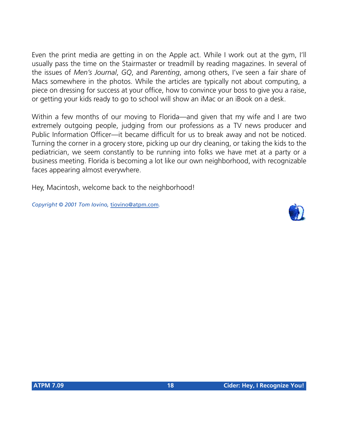Even the print media are getting in on the Apple act. While I work out at the gym, I'll usually pass the time on the Stairmaster or treadmill by reading magazines. In several of the issues of *Men's Journal*, *GQ*, and *Parenting*, among others, I've seen a fair share of Macs somewhere in the photos. While the articles are typically not about computing, a piece on dressing for success at your office, how to convince your boss to give you a raise, or getting your kids ready to go to school will show an iMac or an iBook on a desk.

Within a few months of our moving to Florida—and given that my wife and I are two extremely outgoing people, judging from our professions as a TV news producer and Public Information Officer—it became difficult for us to break away and not be noticed. Turning the corner in a grocery store, picking up our dry cleaning, or taking the kids to the pediatrician, we seem constantly to be running into folks we have met at a party or a business meeting. Florida is becoming a lot like our own neighborhood, with recognizable faces appearing almost everywhere.

Hey, Macintosh, welcome back to the neighborhood!

*Copyright © 2001 Tom Iovino,* [tiovino@atpm.com](mailto:tiovino@atpm.com)*.*

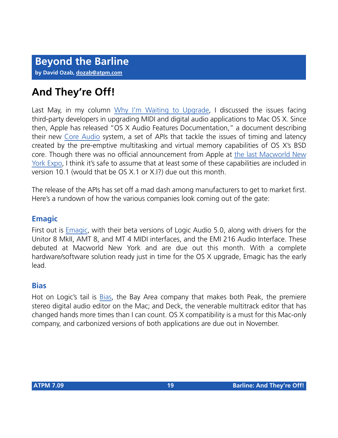### **And They're Off!**

Last May, in my column [Why I'm Waiting to Upgrade,](http://www.atpm.com/7.05/barline.html) I discussed the issues facing third-party developers in upgrading MIDI and digital audio applications to Mac OS X. Since then, Apple has released "OS X Audio Features Documentation," a document describing their new [Core Audio](http://developer.apple.com/audio/xaudiooverview.html) system, a set of APIs that tackle the issues of timing and latency created by the pre-emptive multitasking and virtual memory capabilities of OS X's BSD core. Though there was no official announcement from Apple at [the last Macworld New](http://www.atpm.com/7.08/macworld.shtml) [York Expo](http://www.atpm.com/7.08/macworld.shtml), I think it's safe to assume that at least some of these capabilities are included in version 10.1 (would that be OS X.1 or X.I?) due out this month.

The release of the APIs has set off a mad dash among manufacturers to get to market first. Here's a rundown of how the various companies look coming out of the gate:

### **Emagic**

First out is [Emagic,](http://www.emagic.de/english/news/2001/macworld.html) with their beta versions of Logic Audio 5.0, along with drivers for the Unitor 8 MkII, AMT 8, and MT 4 MIDI interfaces, and the EMI 216 Audio Interface. These debuted at Macworld New York and are due out this month. With a complete hardware/software solution ready just in time for the OS X upgrade, Emagic has the early lead.

### **Bias**

Hot on Logic's tail is [Bias](http://www.bias-inc.com), the Bay Area company that makes both Peak, the premiere stereo digital audio editor on the Mac; and Deck, the venerable multitrack editor that has changed hands more times than I can count. OS X compatibility is a must for this Mac-only company, and carbonized versions of both applications are due out in November.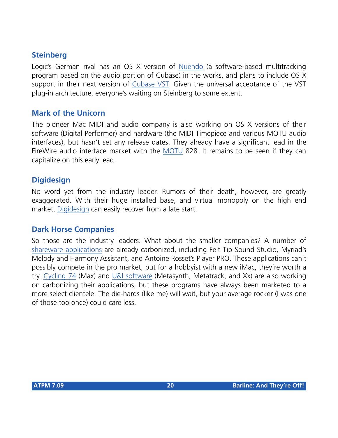### **Steinberg**

Logic's German rival has an OS X version of [Nuendo](http://www.nuendo.com) (a software-based multitracking program based on the audio portion of Cubase) in the works, and plans to include OS X support in their next version of [Cubase VST](http://www.steinberg.net). Given the universal acceptance of the VST plug-in architecture, everyone's waiting on Steinberg to some extent.

### **Mark of the Unicorn**

The pioneer Mac MIDI and audio company is also working on OS X versions of their software (Digital Performer) and hardware (the MIDI Timepiece and various MOTU audio interfaces), but hasn't set any release dates. They already have a significant lead in the FireWire audio interface market with the [MOTU](http://motu.com) 828. It remains to be seen if they can capitalize on this early lead.

### **Digidesign**

No word yet from the industry leader. Rumors of their death, however, are greatly exaggerated. With their huge installed base, and virtual monopoly on the high end market, [Digidesign](http://www.digidesign.com) can easily recover from a late start.

### **Dark Horse Companies**

So those are the industry leaders. What about the smaller companies? A number of [shareware applications](http://osx.hyperjeff.net/Apps/AudioMusic.html) are already carbonized, including Felt Tip Sound Studio, Myriad's Melody and Harmony Assistant, and Antoine Rosset's Player PRO. These applications can't possibly compete in the pro market, but for a hobbyist with a new iMac, they're worth a try. [Cycling 74](http://www.cycling74.com) (Max) and [U&I software](http://uisoftware.com) (Metasynth, Metatrack, and Xx) are also working on carbonizing their applications, but these programs have always been marketed to a more select clientele. The die-hards (like me) will wait, but your average rocker (I was one of those too once) could care less.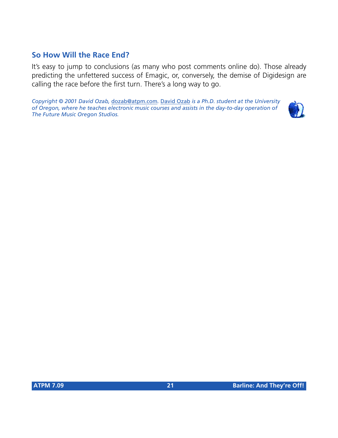### **So How Will the Race End?**

It's easy to jump to conclusions (as many who post comments online do). Those already predicting the unfettered success of Emagic, or, conversely, the demise of Digidesign are calling the race before the first turn. There's a long way to go.

*Copyright © 2001 David Ozab,* [dozab@atpm.com](mailto:dozab@atpm.com)*.* [David Ozab](http://darkwing.uoregon.edu/%7Edlo) *is a Ph.D. student at the University of Oregon, where he teaches electronic music courses and assists in the day-to-day operation of The Future Music Oregon Studios.*

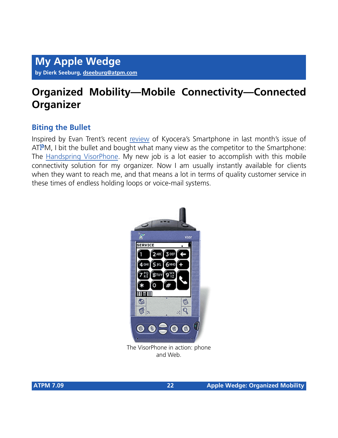### **Organized Mobility—Mobile Connectivity—Connected Organizer**

### **Biting the Bullet**

Inspired by Evan Trent's recent [review](http://atpm.com/7.08/smartphone.shtml) of Kyocera's Smartphone in last month's issue of ATPM, I bit the bullet and bought what many view as the competitor to the Smartphone: The [Handspring VisorPhone.](http://handspring.com/products/visorphone/) My new job is a lot easier to accomplish with this mobile connectivity solution for my organizer. Now I am usually instantly available for clients when they want to reach me, and that means a lot in terms of quality customer service in these times of endless holding loops or voice-mail systems.



The VisorPhone in action: phone and Web.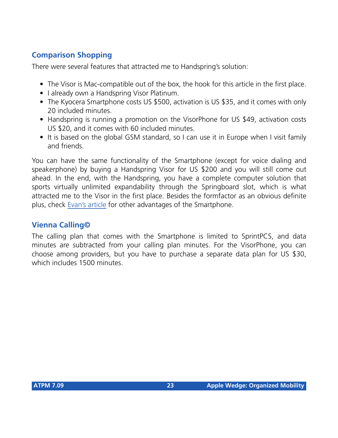### **Comparison Shopping**

There were several features that attracted me to Handspring's solution:

- The Visor is Mac-compatible out of the box, the hook for this article in the first place.
- I already own a Handspring Visor Platinum.
- The Kyocera Smartphone costs US \$500, activation is US \$35, and it comes with only 20 included minutes.
- Handspring is running a promotion on the VisorPhone for US \$49, activation costs US \$20, and it comes with 60 included minutes.
- It is based on the global GSM standard, so I can use it in Europe when I visit family and friends.

You can have the same functionality of the Smartphone (except for voice dialing and speakerphone) by buying a Handspring Visor for US \$200 and you will still come out ahead. In the end, with the Handspring, you have a complete computer solution that sports virtually unlimited expandability through the Springboard slot, which is what attracted me to the Visor in the first place. Besides the formfactor as an obvious definite plus, check [Evan's article](http://atpm.com/7.08/smartphone.shtml) for other advantages of the Smartphone.

### **Vienna Calling©**

The calling plan that comes with the Smartphone is limited to SprintPCS, and data minutes are subtracted from your calling plan minutes. For the VisorPhone, you can choose among providers, but you have to purchase a separate data plan for US \$30, which includes 1500 minutes.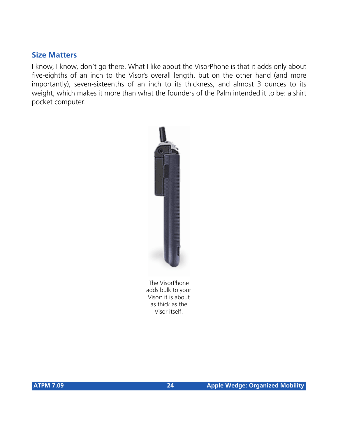### **Size Matters**

I know, I know, don't go there. What I like about the VisorPhone is that it adds only about five-eighths of an inch to the Visor's overall length, but on the other hand (and more importantly), seven-sixteenths of an inch to its thickness, and almost 3 ounces to its weight, which makes it more than what the founders of the Palm intended it to be: a shirt pocket computer.



The VisorPhone adds bulk to your Visor: it is about as thick as the Visor itself.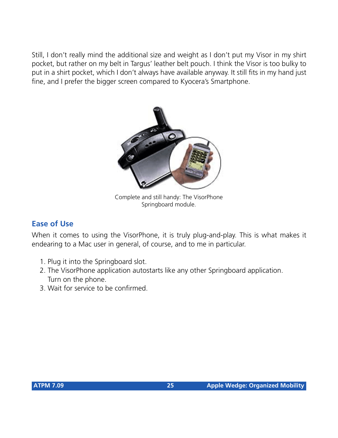Still, I don't really mind the additional size and weight as I don't put my Visor in my shirt pocket, but rather on my belt in Targus' leather belt pouch. I think the Visor is too bulky to put in a shirt pocket, which I don't always have available anyway. It still fits in my hand just fine, and I prefer the bigger screen compared to Kyocera's Smartphone.



Complete and still handy: The VisorPhone Springboard module.

### **Ease of Use**

When it comes to using the VisorPhone, it is truly plug-and-play. This is what makes it endearing to a Mac user in general, of course, and to me in particular.

- 1. Plug it into the Springboard slot.
- 2. The VisorPhone application autostarts like any other Springboard application. Turn on the phone.
- 3. Wait for service to be confirmed.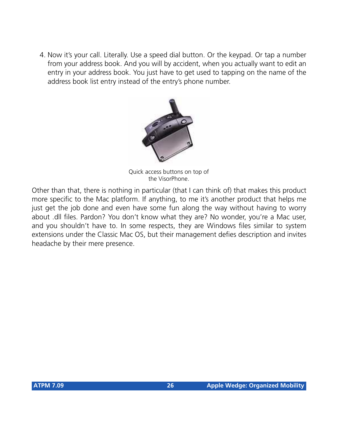4. Now it's your call. Literally. Use a speed dial button. Or the keypad. Or tap a number from your address book. And you will by accident, when you actually want to edit an entry in your address book. You just have to get used to tapping on the name of the address book list entry instead of the entry's phone number.



Quick access buttons on top of the VisorPhone.

Other than that, there is nothing in particular (that I can think of) that makes this product more specific to the Mac platform. If anything, to me it's another product that helps me just get the job done and even have some fun along the way without having to worry about .dll files. Pardon? You don't know what they are? No wonder, you're a Mac user, and you shouldn't have to. In some respects, they are Windows files similar to system extensions under the Classic Mac OS, but their management defies description and invites headache by their mere presence.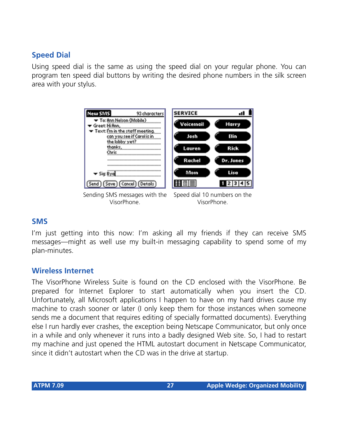### **Speed Dial**

Using speed dial is the same as using the speed dial on your regular phone. You can program ten speed dial buttons by writing the desired phone numbers in the silk screen area with your stylus.



### **SMS**

I'm just getting into this now: I'm asking all my friends if they can receive SMS messages—might as well use my built-in messaging capability to spend some of my plan-minutes.

### **Wireless Internet**

The VisorPhone Wireless Suite is found on the CD enclosed with the VisorPhone. Be prepared for Internet Explorer to start automatically when you insert the CD. Unfortunately, all Microsoft applications I happen to have on my hard drives cause my machine to crash sooner or later (I only keep them for those instances when someone sends me a document that requires editing of specially formatted documents). Everything else I run hardly ever crashes, the exception being Netscape Communicator, but only once in a while and only whenever it runs into a badly designed Web site. So, I had to restart my machine and just opened the HTML autostart document in Netscape Communicator, since it didn't autostart when the CD was in the drive at startup.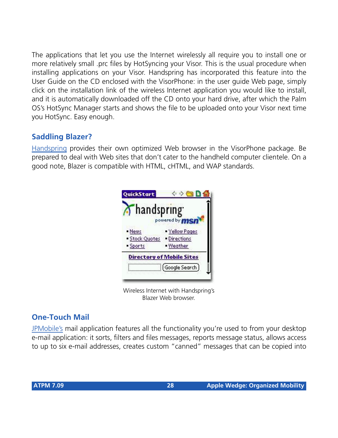The applications that let you use the Internet wirelessly all require you to install one or more relatively small .prc files by HotSyncing your Visor. This is the usual procedure when installing applications on your Visor. Handspring has incorporated this feature into the User Guide on the CD enclosed with the VisorPhone: in the user guide Web page, simply click on the installation link of the wireless Internet application you would like to install, and it is automatically downloaded off the CD onto your hard drive, after which the Palm OS's HotSync Manager starts and shows the file to be uploaded onto your Visor next time you HotSync. Easy enough.

### **Saddling Blazer?**

[Handspring](http://www.handspring.com/) provides their own optimized Web browser in the VisorPhone package. Be prepared to deal with Web sites that don't cater to the handheld computer clientele. On a good note, Blazer is compatible with HTML, cHTML, and WAP standards.



Wireless Internet with Handspring's Blazer Web browser.

### **One-Touch Mail**

[JPMobile's](http://www.jpmobile.com/) mail application features all the functionality you're used to from your desktop e-mail application: it sorts, filters and files messages, reports message status, allows access to up to six e-mail addresses, creates custom "canned" messages that can be copied into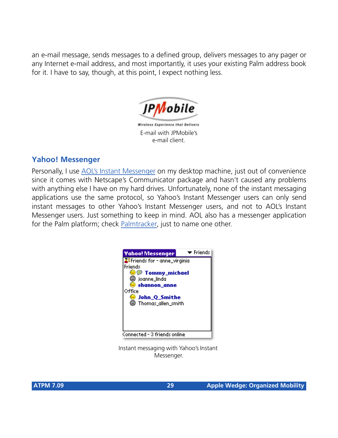an e-mail message, sends messages to a defined group, delivers messages to any pager or any Internet e-mail address, and most importantly, it uses your existing Palm address book for it. I have to say, though, at this point, I expect nothing less.



ireless Experience that Delivers E-mail with JPMobile's e-mail client.

### **Yahoo! Messenger**

Personally, I use [AOL's Instant Messenger](http://www.aol.com/aim/homenew.adp) on my desktop machine, just out of convenience since it comes with Netscape's Communicator package and hasn't caused any problems with anything else I have on my hard drives. Unfortunately, none of the instant messaging applications use the same protocol, so Yahoo's Instant Messenger users can only send instant messages to other Yahoo's Instant Messenger users, and not to AOL's Instant Messenger users. Just something to keep in mind. AOL also has a messenger application for the Palm platform; check [Palmtracker](http://www.palmtracker.com/), just to name one other.



![](_page_28_Figure_6.jpeg)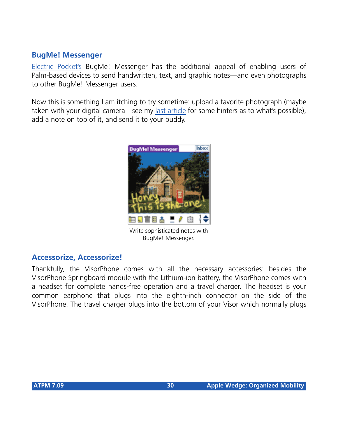### **BugMe! Messenger**

[Electric Pocket's](http://www.electricpocket.com/) BugMe! Messenger has the additional appeal of enabling users of Palm-based devices to send handwritten, text, and graphic notes—and even photographs to other BugMe! Messenger users.

Now this is something I am itching to try sometime: upload a favorite photograph (maybe taken with your digital camera—see my [last article](http://www.atpm.com/7.08/my-apple-wedge.shtml) for some hinters as to what's possible), add a note on top of it, and send it to your buddy.

![](_page_29_Picture_3.jpeg)

Write sophisticated notes with BugMe! Messenger.

### **Accessorize, Accessorize!**

Thankfully, the VisorPhone comes with all the necessary accessories: besides the VisorPhone Springboard module with the Lithium-ion battery, the VisorPhone comes with a headset for complete hands-free operation and a travel charger. The headset is your common earphone that plugs into the eighth-inch connector on the side of the VisorPhone. The travel charger plugs into the bottom of your Visor which normally plugs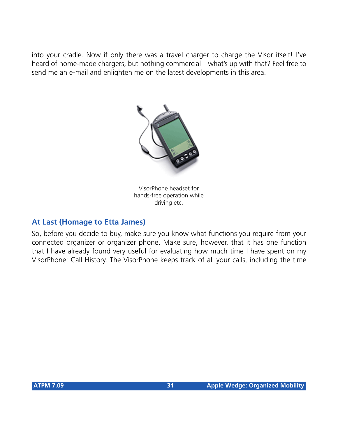into your cradle. Now if only there was a travel charger to charge the Visor itself! I've heard of home-made chargers, but nothing commercial—what's up with that? Feel free to send me an e-mail and enlighten me on the latest developments in this area.

![](_page_30_Picture_1.jpeg)

VisorPhone headset for hands-free operation while driving etc.

### **At Last (Homage to Etta James)**

So, before you decide to buy, make sure you know what functions you require from your connected organizer or organizer phone. Make sure, however, that it has one function that I have already found very useful for evaluating how much time I have spent on my VisorPhone: Call History. The VisorPhone keeps track of all your calls, including the time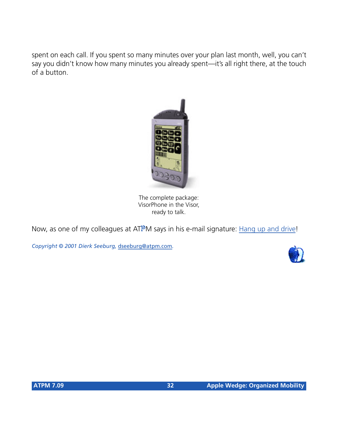spent on each call. If you spent so many minutes over your plan last month, well, you can't say you didn't know how many minutes you already spent—it's all right there, at the touch of a button.

![](_page_31_Picture_1.jpeg)

The complete package: VisorPhone in the Visor, ready to talk.

Now, as one of my colleagues at ATPM says in his e-mail signature: [Hang up and drive](http://www.abc.net.au/science/news/stories/s303714.htm)!

*Copyright © 2001 Dierk Seeburg,* [dseeburg@atpm.com](mailto:dseeburg@atpm.com)*.*

![](_page_31_Picture_5.jpeg)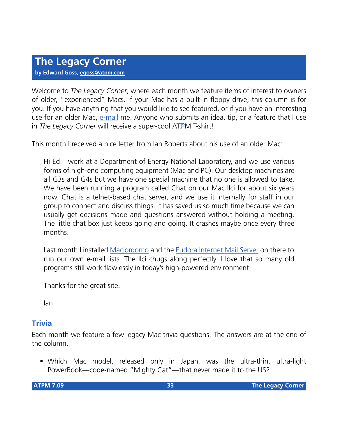Welcome to *The Legacy Corner*, where each month we feature items of interest to owners of older, "experienced" Macs. If your Mac has a built-in floppy drive, this column is for you. If you have anything that you would like to see featured, or if you have an interesting use for an older Mac, [e-mail](mailto:egoss@atpm.com) me. Anyone who submits an idea, tip, or a feature that I use in *The Legacy Corner* will receive a super-cool ATPM T-shirt!

This month I received a nice letter from Ian Roberts about his use of an older Mac:

Hi Ed. I work at a Department of Energy National Laboratory, and we use various forms of high-end computing equipment (Mac and PC). Our desktop machines are all G3s and G4s but we have one special machine that no one is allowed to take. We have been running a program called Chat on our Mac IIci for about six years now. Chat is a telnet-based chat server, and we use it internally for staff in our group to connect and discuss things. It has saved us so much time because we can usually get decisions made and questions answered without holding a meeting. The little chat box just keeps going and going. It crashes maybe once every three months.

Last month I installed [Macjordomo](http://macjordomo.med.cornell.edu/) and the [Eudora Internet Mail Server](http://www.eudora.com/eims/) on there to run our own e-mail lists. The IIci chugs along perfectly. I love that so many old programs still work flawlessly in today's high-powered environment.

Thanks for the great site.

Ian

### **Trivia**

Each month we feature a few legacy Mac trivia questions. The answers are at the end of the column.

• Which Mac model, released only in Japan, was the ultra-thin, ultra-light PowerBook—code-named "Mighty Cat"—that never made it to the US?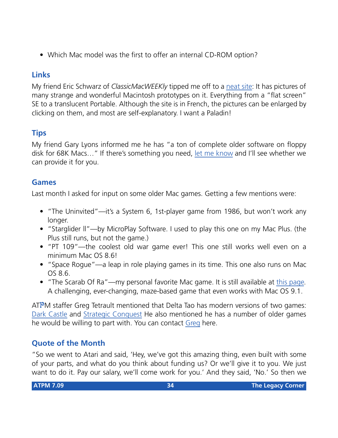• Which Mac model was the first to offer an internal CD-ROM option?

### **Links**

My friend Eric Schwarz of *ClassicMacWEEKly* tipped me off to a [neat site:](http://www.gete.net/book/dossiers/prototypes/index.html) It has pictures of many strange and wonderful Macintosh prototypes on it. Everything from a "flat screen" SE to a translucent Portable. Although the site is in French, the pictures can be enlarged by clicking on them, and most are self-explanatory. I want a Paladin!

### **Tips**

My friend Gary Lyons informed me he has "a ton of complete older software on floppy disk for 68K Macs…" If there's something you need, [let me know](mailto:egoss@atpm.com) and I'll see whether we can provide it for you.

### **Games**

Last month I asked for input on some older Mac games. Getting a few mentions were:

- "The Uninvited"—it's a System 6, 1st-player game from 1986, but won't work any longer.
- "Starglider ll"—by MicroPlay Software. I used to play this one on my Mac Plus. (the Plus still runs, but not the game.)
- "PT 109"—the coolest old war game ever! This one still works well even on a minimum Mac OS 8.6!
- "Space Rogue"—a leap in role playing games in its time. This one also runs on Mac OS 8.6.
- "The Scarab Of Ra"—my personal favorite Mac game. It is still available at [this page.](http://www.semicolon.com/Scarab.html) A challenging, ever-changing, maze-based game that even works with Mac OS 9.1.

ATPM staffer Greg Tetrault mentioned that Delta Tao has modern versions of two games: [Dark Castle](http://www.deltatao.com/darkcastle.html) and [Strategic Conquest](http://www.deltatao.com/stratcon.html) He also mentioned he has a number of older games he would be willing to part with. You can contact [Greg](mailto:gtetrault@atpm.com) here.

### **Quote of the Month**

"So we went to Atari and said, 'Hey, we've got this amazing thing, even built with some of your parts, and what do you think about funding us? Or we'll give it to you. We just want to do it. Pay our salary, we'll come work for you.' And they said, 'No.' So then we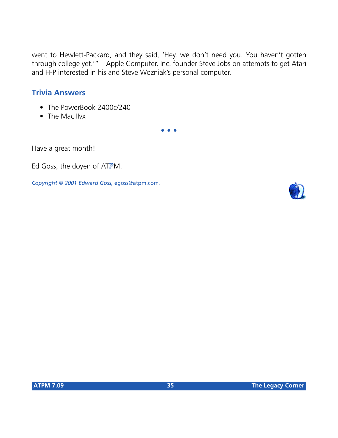went to Hewlett-Packard, and they said, 'Hey, we don't need you. You haven't gotten through college yet.'"—Apple Computer, Inc. founder Steve Jobs on attempts to get Atari and H-P interested in his and Steve Wozniak's personal computer.

### **Trivia Answers**

- The PowerBook 2400c/240
- The Mac IIvx

**• • •**

Have a great month!

Ed Goss, the doyen of ATPM.

*Copyright © 2001 Edward Goss,* [egoss@atpm.com](mailto:egoss@atpm.com)*.*

![](_page_34_Picture_8.jpeg)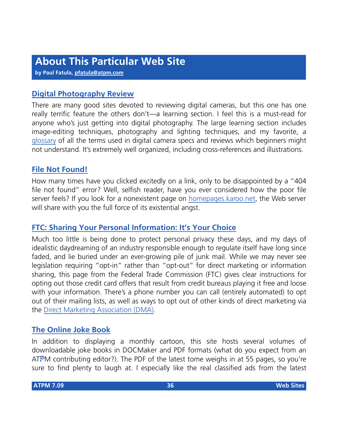**by Paul Fatula, [pfatula@atpm.com](mailto:pfatula@atpm.com)**

### **[Digital Photography Review](http://www.dpreview.com)**

There are many good sites devoted to reviewing digital cameras, but this one has one really terrific feature the others don't—a learning section. I feel this is a must-read for anyone who's just getting into digital photography. The large learning section includes image-editing techniques, photography and lighting techniques, and my favorite, a [glossary](http://www.dpreview.com/learn/Glossary/) of all the terms used in digital camera specs and reviews which beginners might not understand. It's extremely well organized, including cross-references and illustrations.

### **[File Not Found!](http://homepages.karoo.net/404.html)**

How many times have you clicked excitedly on a link, only to be disappointed by a "404 file not found" error? Well, selfish reader, have you ever considered how the poor file server feels? If you look for a nonexistent page on [homepages.karoo.net,](http://homepages.karoo.net) the Web server will share with you the full force of its existential angst.

### **[FTC: Sharing Your Personal Information: It's Your Choice](http://www.ftc.gov/privacy/protect.htm)**

Much too little is being done to protect personal privacy these days, and my days of idealistic daydreaming of an industry responsible enough to regulate itself have long since faded, and lie buried under an ever-growing pile of junk mail. While we may never see legislation requiring "opt-in" rather than "opt-out" for direct marketing or information sharing, this page from the Federal Trade Commission (FTC) gives clear instructions for opting out those credit card offers that result from credit bureaus playing it free and loose with your information. There's a phone number you can call (entirely automated) to opt out of their mailing lists, as well as ways to opt out of other kinds of direct marketing via the [Direct Marketing Association \(DMA\)](http://www.the-dma.org/).

### **[The Online Joke Book](http://www.onlinejokebook.com)**

In addition to displaying a monthly cartoon, this site hosts several volumes of downloadable joke books in DOCMaker and PDF formats (what do you expect from an  $ATPM$  contributing editor?). The PDF of the latest tome weighs in at 55 pages, so you're sure to find plenty to laugh at. I especially like the real classified ads from the latest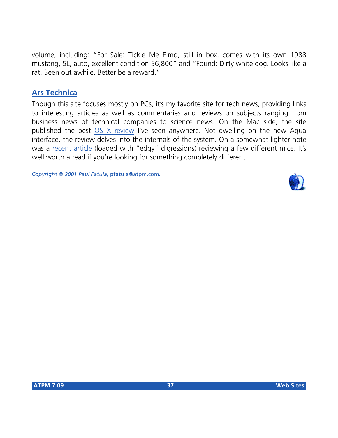volume, including: "For Sale: Tickle Me Elmo, still in box, comes with its own 1988 mustang, 5L, auto, excellent condition \$6,800" and "Found: Dirty white dog. Looks like a rat. Been out awhile. Better be a reward."

### **[Ars Technica](http://http://www.arstechnica.com)**

Though this site focuses mostly on PCs, it's my favorite site for tech news, providing links to interesting articles as well as commentaries and reviews on subjects ranging from business news of technical companies to science news. On the Mac side, the site published the best [OS X review](http://arstechnica.com/reviews/01q2/macos-x-final/macos-x-1.html) I've seen anywhere. Not dwelling on the new Aqua interface, the review delves into the internals of the system. On a somewhat lighter note was a [recent article](http://arstechnica.com/reviews/01q3/logitech/mouses-1.html) (loaded with "edgy" digressions) reviewing a few different mice. It's well worth a read if you're looking for something completely different.

*Copyright © 2001 Paul Fatula,* [pfatula@atpm.com](mailto:pfatula@atpm.com)*.*

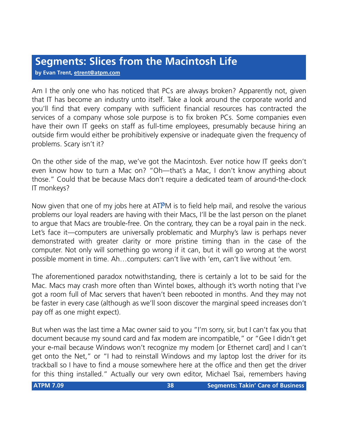## **Segments: Slices from the Macintosh Life**

**by Evan Trent, [etrent@atpm.com](mailto:etrent@atpm.com)**

Am I the only one who has noticed that PCs are always broken? Apparently not, given that IT has become an industry unto itself. Take a look around the corporate world and you'll find that every company with sufficient financial resources has contracted the services of a company whose sole purpose is to fix broken PCs. Some companies even have their own IT geeks on staff as full-time employees, presumably because hiring an outside firm would either be prohibitively expensive or inadequate given the frequency of problems. Scary isn't it?

On the other side of the map, we've got the Macintosh. Ever notice how IT geeks don't even know how to turn a Mac on? "Oh—that's a Mac, I don't know anything about those." Could that be because Macs don't require a dedicated team of around-the-clock IT monkeys?

Now given that one of my jobs here at ATPM is to field help mail, and resolve the various problems our loyal readers are having with their Macs, I'll be the last person on the planet to argue that Macs are trouble-free. On the contrary, they can be a royal pain in the neck. Let's face it—computers are universally problematic and Murphy's law is perhaps never demonstrated with greater clarity or more pristine timing than in the case of the computer. Not only will something go wrong if it can, but it will go wrong at the worst possible moment in time. Ah…computers: can't live with 'em, can't live without 'em.

The aforementioned paradox notwithstanding, there is certainly a lot to be said for the Mac. Macs may crash more often than Wintel boxes, although it's worth noting that I've got a room full of Mac servers that haven't been rebooted in months. And they may not be faster in every case (although as we'll soon discover the marginal speed increases don't pay off as one might expect).

But when was the last time a Mac owner said to you "I'm sorry, sir, but I can't fax you that document because my sound card and fax modem are incompatible," or "Gee I didn't get your e-mail because Windows won't recognize my modem [or Ethernet card] and I can't get onto the Net," or "I had to reinstall Windows and my laptop lost the driver for its trackball so I have to find a mouse somewhere here at the office and then get the driver for this thing installed." Actually our very own editor, Michael Tsai, remembers having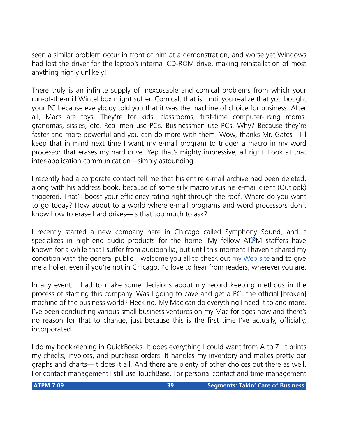seen a similar problem occur in front of him at a demonstration, and worse yet Windows had lost the driver for the laptop's internal CD-ROM drive, making reinstallation of most anything highly unlikely!

There truly is an infinite supply of inexcusable and comical problems from which your run-of-the-mill Wintel box might suffer. Comical, that is, until you realize that you bought your PC because everybody told you that it was the machine of choice for business. After all, Macs are toys. They're for kids, classrooms, first-time computer-using moms, grandmas, sissies, etc. Real men use PCs. Businessmen use PCs. Why? Because they're faster and more powerful and you can do more with them. Wow, thanks Mr. Gates—I'll keep that in mind next time I want my e-mail program to trigger a macro in my word processor that erases my hard drive. Yep that's mighty impressive, all right. Look at that inter-application communication—simply astounding.

I recently had a corporate contact tell me that his entire e-mail archive had been deleted, along with his address book, because of some silly macro virus his e-mail client (Outlook) triggered. That'll boost your efficiency rating right through the roof. Where do you want to go today? How about to a world where e-mail programs and word processors don't know how to erase hard drives—is that too much to ask?

I recently started a new company here in Chicago called Symphony Sound, and it specializes in high-end audio products for the home. My fellow ATPM staffers have known for a while that I suffer from audiophilia, but until this moment I haven't shared my condition with the general public. I welcome you all to check out [my Web site](http://www.symphonysound.com) and to give me a holler, even if you're not in Chicago. I'd love to hear from readers, wherever you are.

In any event, I had to make some decisions about my record keeping methods in the process of starting this company. Was I going to cave and get a PC, the official [broken] machine of the business world? Heck no. My Mac can do everything I need it to and more. I've been conducting various small business ventures on my Mac for ages now and there's no reason for that to change, just because this is the first time I've actually, officially, incorporated.

I do my bookkeeping in QuickBooks. It does everything I could want from A to Z. It prints my checks, invoices, and purchase orders. It handles my inventory and makes pretty bar graphs and charts—it does it all. And there are plenty of other choices out there as well. For contact management I still use TouchBase. For personal contact and time management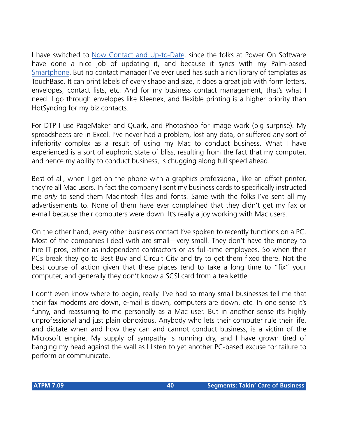I have switched to [Now Contact and Up-to-Date,](http://www.atpm.com/7.07/now-contact.shtml) since the folks at Power On Software have done a nice job of updating it, and because it syncs with my Palm-based [Smartphone](http://www.atpm.com/7.08/smartphone.shtml). But no contact manager I've ever used has such a rich library of templates as TouchBase. It can print labels of every shape and size, it does a great job with form letters, envelopes, contact lists, etc. And for my business contact management, that's what I need. I go through envelopes like Kleenex, and flexible printing is a higher priority than HotSyncing for my biz contacts.

For DTP I use PageMaker and Quark, and Photoshop for image work (big surprise). My spreadsheets are in Excel. I've never had a problem, lost any data, or suffered any sort of inferiority complex as a result of using my Mac to conduct business. What I have experienced is a sort of euphoric state of bliss, resulting from the fact that my computer, and hence my ability to conduct business, is chugging along full speed ahead.

Best of all, when I get on the phone with a graphics professional, like an offset printer, they're all Mac users. In fact the company I sent my business cards to specifically instructed me *only* to send them Macintosh files and fonts. Same with the folks I've sent all my advertisements to. None of them have ever complained that they didn't get my fax or e-mail because their computers were down. It's really a joy working with Mac users.

On the other hand, every other business contact I've spoken to recently functions on a PC. Most of the companies I deal with are small—very small. They don't have the money to hire IT pros, either as independent contractors or as full-time employees. So when their PCs break they go to Best Buy and Circuit City and try to get them fixed there. Not the best course of action given that these places tend to take a long time to "fix" your computer, and generally they don't know a SCSI card from a tea kettle.

I don't even know where to begin, really. I've had so many small businesses tell me that their fax modems are down, e-mail is down, computers are down, etc. In one sense it's funny, and reassuring to me personally as a Mac user. But in another sense it's highly unprofessional and just plain obnoxious. Anybody who lets their computer rule their life, and dictate when and how they can and cannot conduct business, is a victim of the Microsoft empire. My supply of sympathy is running dry, and I have grown tired of banging my head against the wall as I listen to yet another PC-based excuse for failure to perform or communicate.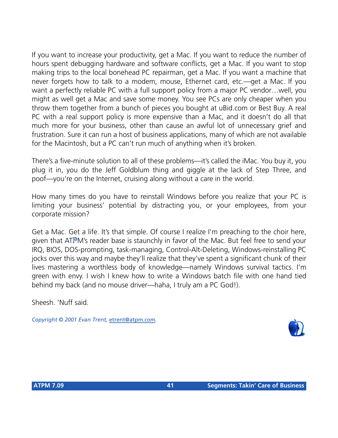If you want to increase your productivity, get a Mac. If you want to reduce the number of hours spent debugging hardware and software conflicts, get a Mac. If you want to stop making trips to the local bonehead PC repairman, get a Mac. If you want a machine that never forgets how to talk to a modem, mouse, Ethernet card, etc.—get a Mac. If you want a perfectly reliable PC with a full support policy from a major PC vendor…well, you might as well get a Mac and save some money. You see PCs are only cheaper when you throw them together from a bunch of pieces you bought at uBid.com or Best Buy. A real PC with a real support policy is more expensive than a Mac, and it doesn't do all that much more for your business, other than cause an awful lot of unnecessary grief and frustration. Sure it can run a host of business applications, many of which are not available for the Macintosh, but a PC can't run much of anything when it's broken.

There's a five-minute solution to all of these problems—it's called the iMac. You buy it, you plug it in, you do the Jeff Goldblum thing and giggle at the lack of Step Three, and poof—you're on the Internet, cruising along without a care in the world.

How many times do you have to reinstall Windows before you realize that your PC is limiting your business' potential by distracting you, or your employees, from your corporate mission?

Get a Mac. Get a life. It's that simple. Of course I realize I'm preaching to the choir here, given that ATPM's reader base is staunchly in favor of the Mac. But feel free to send your IRQ, BIOS, DOS-prompting, task-managing, Control-Alt-Deleting, Windows-reinstalling PC jocks over this way and maybe they'll realize that they've spent a significant chunk of their lives mastering a worthless body of knowledge—namely Windows survival tactics. I'm green with envy. I wish I knew how to write a Windows batch file with one hand tied behind my back (and no mouse driver—haha, I truly am a PC God!).

Sheesh. 'Nuff said.

*Copyright © 2001 Evan Trent,* [etrent@atpm.com](mailto:etrent@atpm.com)*.*

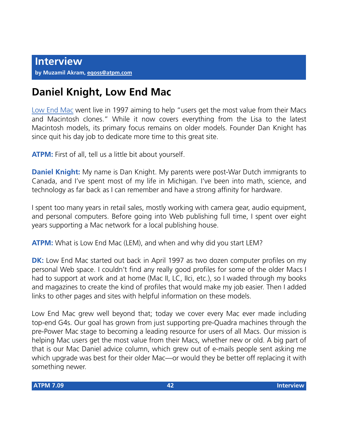# **Daniel Knight, Low End Mac**

[Low End Mac](http://www.lowendmac.com) went live in 1997 aiming to help "users get the most value from their Macs and Macintosh clones." While it now covers everything from the Lisa to the latest Macintosh models, its primary focus remains on older models. Founder Dan Knight has since quit his day job to dedicate more time to this great site.

**ATPM:** First of all, tell us a little bit about yourself.

**Daniel Knight:** My name is Dan Knight. My parents were post-War Dutch immigrants to Canada, and I've spent most of my life in Michigan. I've been into math, science, and technology as far back as I can remember and have a strong affinity for hardware.

I spent too many years in retail sales, mostly working with camera gear, audio equipment, and personal computers. Before going into Web publishing full time, I spent over eight years supporting a Mac network for a local publishing house.

**ATPM:** What is Low End Mac (LEM), and when and why did you start LEM?

**DK:** Low End Mac started out back in April 1997 as two dozen computer profiles on my personal Web space. I couldn't find any really good profiles for some of the older Macs I had to support at work and at home (Mac II, LC, IIci, etc.), so I waded through my books and magazines to create the kind of profiles that would make my job easier. Then I added links to other pages and sites with helpful information on these models.

Low End Mac grew well beyond that; today we cover every Mac ever made including top-end G4s. Our goal has grown from just supporting pre-Quadra machines through the pre-Power Mac stage to becoming a leading resource for users of all Macs. Our mission is helping Mac users get the most value from their Macs, whether new or old. A big part of that is our Mac Daniel advice column, which grew out of e-mails people sent asking me which upgrade was best for their older Mac—or would they be better off replacing it with something newer.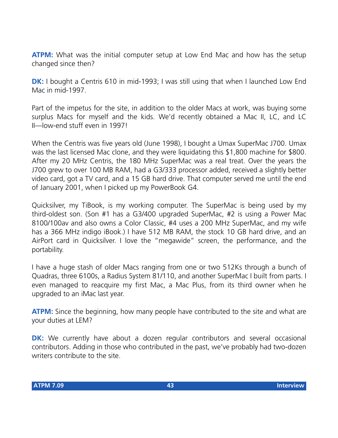**ATPM:** What was the initial computer setup at Low End Mac and how has the setup changed since then?

**DK:** I bought a Centris 610 in mid-1993; I was still using that when I launched Low End Mac in mid-1997.

Part of the impetus for the site, in addition to the older Macs at work, was buying some surplus Macs for myself and the kids. We'd recently obtained a Mac II, LC, and LC II—low-end stuff even in 1997!

When the Centris was five years old (June 1998), I bought a Umax SuperMac J700. Umax was the last licensed Mac clone, and they were liquidating this \$1,800 machine for \$800. After my 20 MHz Centris, the 180 MHz SuperMac was a real treat. Over the years the J700 grew to over 100 MB RAM, had a G3/333 processor added, received a slightly better video card, got a TV card, and a 15 GB hard drive. That computer served me until the end of January 2001, when I picked up my PowerBook G4.

Quicksilver, my TiBook, is my working computer. The SuperMac is being used by my third-oldest son. (Son #1 has a G3/400 upgraded SuperMac, #2 is using a Power Mac 8100/100av and also owns a Color Classic, #4 uses a 200 MHz SuperMac, and my wife has a 366 MHz indigo iBook.) I have 512 MB RAM, the stock 10 GB hard drive, and an AirPort card in Quicksilver. I love the "megawide" screen, the performance, and the portability.

I have a huge stash of older Macs ranging from one or two 512Ks through a bunch of Quadras, three 6100s, a Radius System 81/110, and another SuperMac I built from parts. I even managed to reacquire my first Mac, a Mac Plus, from its third owner when he upgraded to an iMac last year.

**ATPM:** Since the beginning, how many people have contributed to the site and what are your duties at LEM?

**DK:** We currently have about a dozen regular contributors and several occasional contributors. Adding in those who contributed in the past, we've probably had two-dozen writers contribute to the site.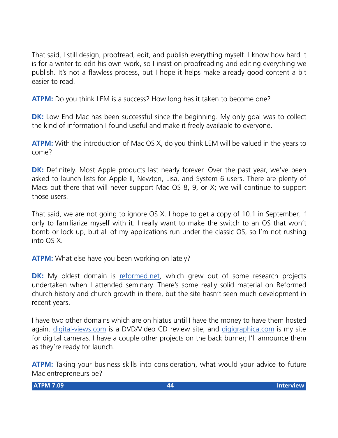That said, I still design, proofread, edit, and publish everything myself. I know how hard it is for a writer to edit his own work, so I insist on proofreading and editing everything we publish. It's not a flawless process, but I hope it helps make already good content a bit easier to read.

**ATPM:** Do you think LEM is a success? How long has it taken to become one?

**DK:** Low End Mac has been successful since the beginning. My only goal was to collect the kind of information I found useful and make it freely available to everyone.

**ATPM:** With the introduction of Mac OS X, do you think LEM will be valued in the years to come?

**DK:** Definitely. Most Apple products last nearly forever. Over the past year, we've been asked to launch lists for Apple II, Newton, Lisa, and System 6 users. There are plenty of Macs out there that will never support Mac OS 8, 9, or X; we will continue to support those users.

That said, we are not going to ignore OS X. I hope to get a copy of 10.1 in September, if only to familiarize myself with it. I really want to make the switch to an OS that won't bomb or lock up, but all of my applications run under the classic OS, so I'm not rushing into OS X.

**ATPM:** What else have you been working on lately?

**DK:** My oldest domain is [reformed.net](http://www.reformed.net), which grew out of some research projects undertaken when I attended seminary. There's some really solid material on Reformed church history and church growth in there, but the site hasn't seen much development in recent years.

I have two other domains which are on hiatus until I have the money to have them hosted again. [digital-views.com](http://www.digital-views.com/) is a DVD/Video CD review site, and [digigraphica.com](http://www.digigraphica.com/) is my site for digital cameras. I have a couple other projects on the back burner; I'll announce them as they're ready for launch.

**ATPM:** Taking your business skills into consideration, what would your advice to future Mac entrepreneurs be?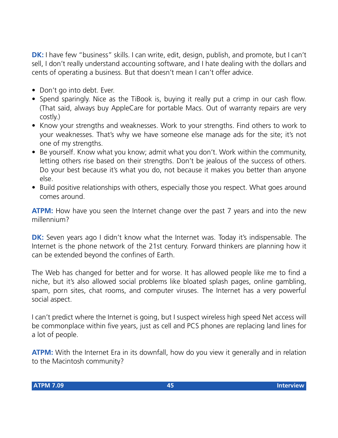**DK:** I have few "business" skills. I can write, edit, design, publish, and promote, but I can't sell, I don't really understand accounting software, and I hate dealing with the dollars and cents of operating a business. But that doesn't mean I can't offer advice.

- Don't go into debt. Ever.
- Spend sparingly. Nice as the TiBook is, buying it really put a crimp in our cash flow. (That said, always buy AppleCare for portable Macs. Out of warranty repairs are very costly.)
- Know your strengths and weaknesses. Work to your strengths. Find others to work to your weaknesses. That's why we have someone else manage ads for the site; it's not one of my strengths.
- Be yourself. Know what you know; admit what you don't. Work within the community, letting others rise based on their strengths. Don't be jealous of the success of others. Do your best because it's what you do, not because it makes you better than anyone else.
- Build positive relationships with others, especially those you respect. What goes around comes around.

**ATPM:** How have you seen the Internet change over the past 7 years and into the new millennium?

**DK:** Seven years ago I didn't know what the Internet was. Today it's indispensable. The Internet is the phone network of the 21st century. Forward thinkers are planning how it can be extended beyond the confines of Earth.

The Web has changed for better and for worse. It has allowed people like me to find a niche, but it's also allowed social problems like bloated splash pages, online gambling, spam, porn sites, chat rooms, and computer viruses. The Internet has a very powerful social aspect.

I can't predict where the Internet is going, but I suspect wireless high speed Net access will be commonplace within five years, just as cell and PCS phones are replacing land lines for a lot of people.

**ATPM:** With the Internet Era in its downfall, how do you view it generally and in relation to the Macintosh community?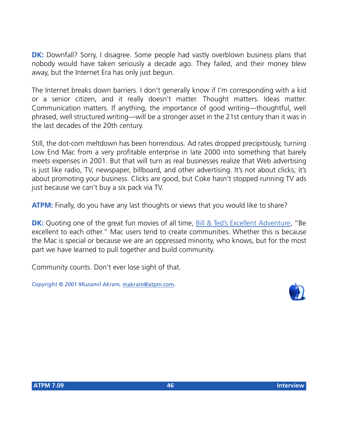**DK:** Downfall? Sorry, I disagree. Some people had vastly overblown business plans that nobody would have taken seriously a decade ago. They failed, and their money blew away, but the Internet Era has only just begun.

The Internet breaks down barriers. I don't generally know if I'm corresponding with a kid or a senior citizen, and it really doesn't matter. Thought matters. Ideas matter. Communication matters. If anything, the importance of good writing—thoughtful, well phrased, well structured writing—will be a stronger asset in the 21st century than it was in the last decades of the 20th century.

Still, the dot-com meltdown has been horrendous. Ad rates dropped precipitously, turning Low End Mac from a very profitable enterprise in late 2000 into something that barely meets expenses in 2001. But that will turn as real businesses realize that Web advertising is just like radio, TV, newspaper, billboard, and other advertising. It's not about clicks; it's about promoting your business. Clicks are good, but Coke hasn't stopped running TV ads just because we can't buy a six pack via TV.

**ATPM:** Finally, do you have any last thoughts or views that you would like to share?

**DK:** Quoting one of the great fun movies of all time, [Bill & Ted's Excellent Adventure](http://us.imdb.com/Title?0096928), "Be excellent to each other." Mac users tend to create communities. Whether this is because the Mac is special or because we are an oppressed minority, who knows, but for the most part we have learned to pull together and build community.

Community counts. Don't ever lose sight of that.

*Copyright © 2001 Muzamil Akram,* [makram@atpm.com](mailto:makram@atpm.com)*.*

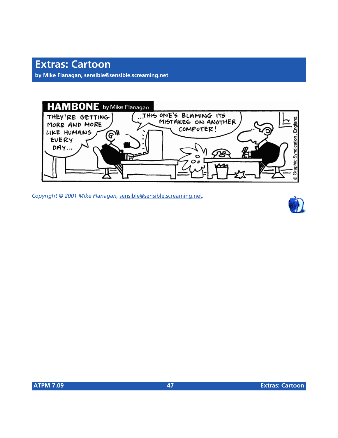## **Extras: Cartoon**

**by Mike Flanagan, [sensible@sensible.screaming.net](mailto:sensible@sensible.screaming.net)**



*Copyright © 2001 Mike Flanagan,* [sensible@sensible.screaming.net](mailto:mrspiffy@earthlink.net)*.*

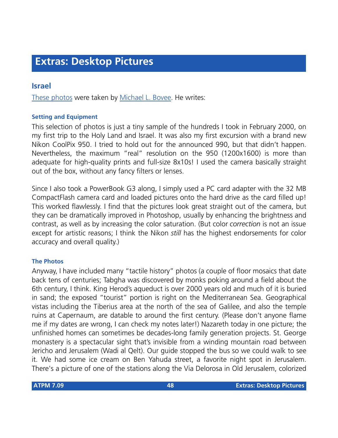### **Israel**

[These photos](http://www.atpm.com/7.09/israel/) were taken by [Michael L. Bovee.](mailto:mbovee@zoo.uvm.edu) He writes:

#### **Setting and Equipment**

This selection of photos is just a tiny sample of the hundreds I took in February 2000, on my first trip to the Holy Land and Israel. It was also my first excursion with a brand new Nikon CoolPix 950. I tried to hold out for the announced 990, but that didn't happen. Nevertheless, the maximum "real" resolution on the 950 (1200x1600) is more than adequate for high-quality prints and full-size 8x10s! I used the camera basically straight out of the box, without any fancy filters or lenses.

Since I also took a PowerBook G3 along, I simply used a PC card adapter with the 32 MB CompactFlash camera card and loaded pictures onto the hard drive as the card filled up! This worked flawlessly. I find that the pictures look great straight out of the camera, but they can be dramatically improved in Photoshop, usually by enhancing the brightness and contrast, as well as by increasing the color saturation. (But color *correction* is not an issue except for artistic reasons; I think the Nikon *still* has the highest endorsements for color accuracy and overall quality.)

#### **The Photos**

Anyway, I have included many "tactile history" photos (a couple of floor mosaics that date back tens of centuries; Tabgha was discovered by monks poking around a field about the 6th century, I think. King Herod's aqueduct is over 2000 years old and much of it is buried in sand; the exposed "tourist" portion is right on the Mediterranean Sea. Geographical vistas including the Tiberius area at the north of the sea of Galilee, and also the temple ruins at Capernaum, are datable to around the first century. (Please don't anyone flame me if my dates are wrong, I can check my notes later!) Nazareth today in one picture; the unfinished homes can sometimes be decades-long family generation projects. St. George monastery is a spectacular sight that's invisible from a winding mountain road between Jericho and Jerusalem (Wadi al Qelt). Our guide stopped the bus so we could walk to see it. We had some ice cream on Ben Yahuda street, a favorite night spot in Jerusalem. There's a picture of one of the stations along the Via Delorosa in Old Jerusalem, colorized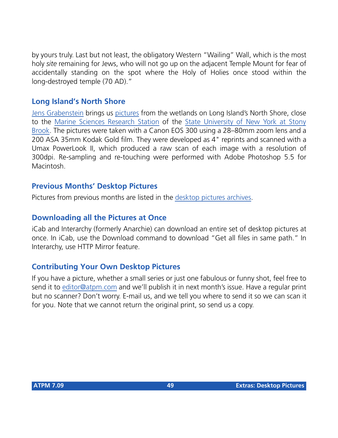by yours truly. Last but not least, the obligatory Western "Wailing" Wall, which is the most holy *site* remaining for Jews, who will not go up on the adjacent Temple Mount for fear of accidentally standing on the spot where the Holy of Holies once stood within the long-destroyed temple (70 AD)."

### **Long Island's North Shore**

[Jens Grabenstein](mailto:jens@grabenstein.de) brings us [pictures](http://www.atpm.com/7.09/long-island-north-shore) from the wetlands on Long Island's North Shore, close to the [Marine Sciences Research Station](http://alpha1.msrc.sunysb.edu/) of the [State University of New York at Stony](http://www.sunysb.edu/) [Brook.](http://www.sunysb.edu/) The pictures were taken with a Canon EOS 300 using a 28–80mm zoom lens and a 200 ASA 35mm Kodak Gold film. They were developed as 4" reprints and scanned with a Umax PowerLook II, which produced a raw scan of each image with a resolution of 300dpi. Re-sampling and re-touching were performed with Adobe Photoshop 5.5 for Macintosh.

### **Previous Months' Desktop Pictures**

Pictures from previous months are listed in the [desktop pictures archives](http://www.atpm.com/Back/desktop-pictures.shtml).

### **Downloading all the Pictures at Once**

iCab and Interarchy (formerly Anarchie) can download an entire set of desktop pictures at once. In iCab, use the Download command to download "Get all files in same path." In Interarchy, use HTTP Mirror feature.

### **Contributing Your Own Desktop Pictures**

If you have a picture, whether a small series or just one fabulous or funny shot, feel free to send it to [editor@atpm.com](mailto:editor@atpm.com) and we'll publish it in next month's issue. Have a regular print but no scanner? Don't worry. E-mail us, and we tell you where to send it so we can scan it for you. Note that we cannot return the original print, so send us a copy.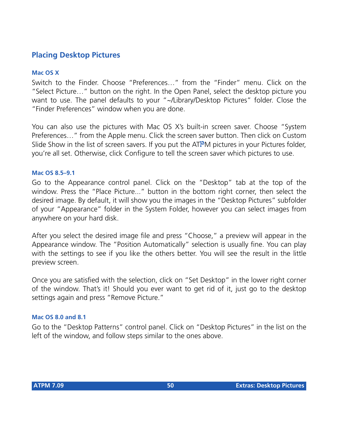### **Placing Desktop Pictures**

#### **Mac OS X**

Switch to the Finder. Choose "Preferences…" from the "Finder" menu. Click on the "Select Picture…" button on the right. In the Open Panel, select the desktop picture you want to use. The panel defaults to your "~/Library/Desktop Pictures" folder. Close the "Finder Preferences" window when you are done.

You can also use the pictures with Mac OS X's built-in screen saver. Choose "System Preferences…" from the Apple menu. Click the screen saver button. Then click on Custom Slide Show in the list of screen savers. If you put the ATPM pictures in your Pictures folder, you're all set. Otherwise, click Configure to tell the screen saver which pictures to use.

#### **Mac OS 8.5–9.1**

Go to the Appearance control panel. Click on the "Desktop" tab at the top of the window. Press the "Place Picture..." button in the bottom right corner, then select the desired image. By default, it will show you the images in the "Desktop Pictures" subfolder of your "Appearance" folder in the System Folder, however you can select images from anywhere on your hard disk.

After you select the desired image file and press "Choose," a preview will appear in the Appearance window. The "Position Automatically" selection is usually fine. You can play with the settings to see if you like the others better. You will see the result in the little preview screen.

Once you are satisfied with the selection, click on "Set Desktop" in the lower right corner of the window. That's it! Should you ever want to get rid of it, just go to the desktop settings again and press "Remove Picture."

#### **Mac OS 8.0 and 8.1**

Go to the "Desktop Patterns" control panel. Click on "Desktop Pictures" in the list on the left of the window, and follow steps similar to the ones above.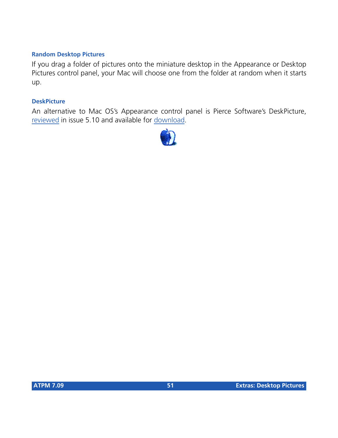#### **Random Desktop Pictures**

If you drag a folder of pictures onto the miniature desktop in the Appearance or Desktop Pictures control panel, your Mac will choose one from the folder at random when it starts up.

#### **DeskPicture**

An alternative to Mac OS's Appearance control panel is Pierce Software's DeskPicture, [reviewed](http://www.atpm.com/5.10/roundup.shtml) in issue 5.10 and available for [download](http://www.peircesw.com/DeskPicture.html).

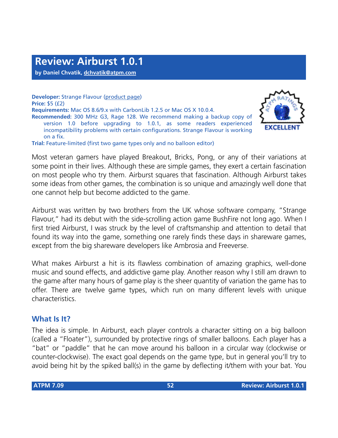**by Daniel Chvatik, [dchvatik@atpm.com](mailto:dchvatik@atpm.com)**

**Developer:** Strange Flavour ([product page\)](http://www.strangeflavour.com/airburst.html) **Price:** \$5 (£2) **Requirements:** Mac OS 8.6/9.x with CarbonLib 1.2.5 or Mac OS X 10.0.4. **Recommended:** 300 MHz G3, Rage 128. We recommend making a backup copy of version 1.0 before upgrading to 1.0.1, as some readers experienced incompatibility problems with certain configurations. Strange Flavour is working on a fix. **Trial:** Feature-limited (first two game types only and no balloon editor)



Most veteran gamers have played Breakout, Bricks, Pong, or any of their variations at some point in their lives. Although these are simple games, they exert a certain fascination on most people who try them. Airburst squares that fascination. Although Airburst takes some ideas from other games, the combination is so unique and amazingly well done that one cannot help but become addicted to the game.

Airburst was written by two brothers from the UK whose software company, "Strange Flavour," had its debut with the side-scrolling action game BushFire not long ago. When I first tried Airburst, I was struck by the level of craftsmanship and attention to detail that found its way into the game, something one rarely finds these days in shareware games, except from the big shareware developers like Ambrosia and Freeverse.

What makes Airburst a hit is its flawless combination of amazing graphics, well-done music and sound effects, and addictive game play. Another reason why I still am drawn to the game after many hours of game play is the sheer quantity of variation the game has to offer. There are twelve game types, which run on many different levels with unique characteristics.

### **What Is It?**

The idea is simple. In Airburst, each player controls a character sitting on a big balloon (called a "Floater"), surrounded by protective rings of smaller balloons. Each player has a "bat" or "paddle" that he can move around his balloon in a circular way (clockwise or counter-clockwise). The exact goal depends on the game type, but in general you'll try to avoid being hit by the spiked ball(s) in the game by deflecting it/them with your bat. You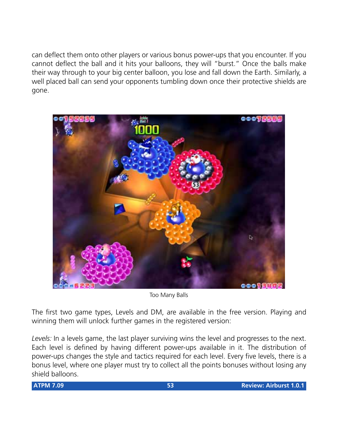can deflect them onto other players or various bonus power-ups that you encounter. If you cannot deflect the ball and it hits your balloons, they will "burst." Once the balls make their way through to your big center balloon, you lose and fall down the Earth. Similarly, a well placed ball can send your opponents tumbling down once their protective shields are gone.



Too Many Balls

The first two game types, Levels and DM, are available in the free version. Playing and winning them will unlock further games in the registered version:

*Levels:* In a levels game, the last player surviving wins the level and progresses to the next. Each level is defined by having different power-ups available in it. The distribution of power-ups changes the style and tactics required for each level. Every five levels, there is a bonus level, where one player must try to collect all the points bonuses without losing any shield balloons.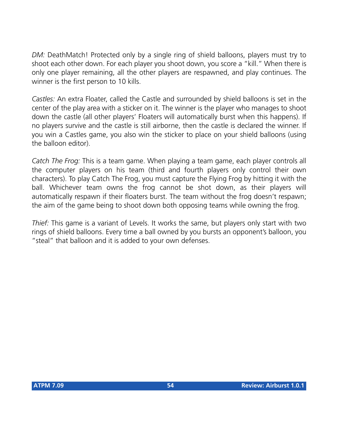*DM:* DeathMatch! Protected only by a single ring of shield balloons, players must try to shoot each other down. For each player you shoot down, you score a "kill." When there is only one player remaining, all the other players are respawned, and play continues. The winner is the first person to 10 kills.

*Castles:* An extra Floater, called the Castle and surrounded by shield balloons is set in the center of the play area with a sticker on it. The winner is the player who manages to shoot down the castle (all other players' Floaters will automatically burst when this happens). If no players survive and the castle is still airborne, then the castle is declared the winner. If you win a Castles game, you also win the sticker to place on your shield balloons (using the balloon editor).

*Catch The Frog:* This is a team game. When playing a team game, each player controls all the computer players on his team (third and fourth players only control their own characters). To play Catch The Frog, you must capture the Flying Frog by hitting it with the ball. Whichever team owns the frog cannot be shot down, as their players will automatically respawn if their floaters burst. The team without the frog doesn't respawn; the aim of the game being to shoot down both opposing teams while owning the frog.

*Thief:* This game is a variant of Levels. It works the same, but players only start with two rings of shield balloons. Every time a ball owned by you bursts an opponent's balloon, you "steal" that balloon and it is added to your own defenses.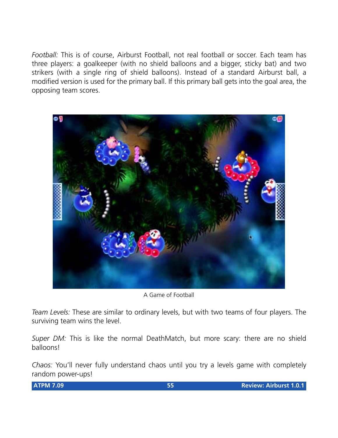*Football:* This is of course, Airburst Football, not real football or soccer. Each team has three players: a goalkeeper (with no shield balloons and a bigger, sticky bat) and two strikers (with a single ring of shield balloons). Instead of a standard Airburst ball, a modified version is used for the primary ball. If this primary ball gets into the goal area, the opposing team scores.



A Game of Football

*Team Levels:* These are similar to ordinary levels, but with two teams of four players. The surviving team wins the level.

*Super DM:* This is like the normal DeathMatch, but more scary: there are no shield balloons!

*Chaos:* You'll never fully understand chaos until you try a levels game with completely random power-ups!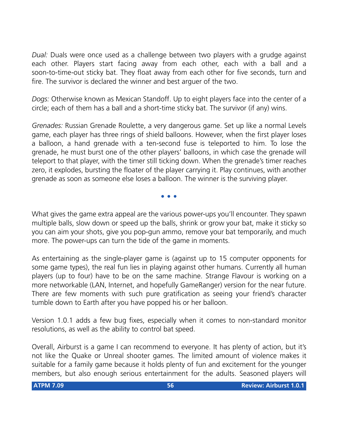*Dual:* Duals were once used as a challenge between two players with a grudge against each other. Players start facing away from each other, each with a ball and a soon-to-time-out sticky bat. They float away from each other for five seconds, turn and fire. The survivor is declared the winner and best arguer of the two.

*Dogs:* Otherwise known as Mexican Standoff. Up to eight players face into the center of a circle; each of them has a ball and a short-time sticky bat. The survivor (if any) wins.

*Grenades:* Russian Grenade Roulette, a very dangerous game. Set up like a normal Levels game, each player has three rings of shield balloons. However, when the first player loses a balloon, a hand grenade with a ten-second fuse is teleported to him. To lose the grenade, he must burst one of the other players' balloons, in which case the grenade will teleport to that player, with the timer still ticking down. When the grenade's timer reaches zero, it explodes, bursting the floater of the player carrying it. Play continues, with another grenade as soon as someone else loses a balloon. The winner is the surviving player.

**• • •**

What gives the game extra appeal are the various power-ups you'll encounter. They spawn multiple balls, slow down or speed up the balls, shrink or grow your bat, make it sticky so you can aim your shots, give you pop-gun ammo, remove your bat temporarily, and much more. The power-ups can turn the tide of the game in moments.

As entertaining as the single-player game is (against up to 15 computer opponents for some game types), the real fun lies in playing against other humans. Currently all human players (up to four) have to be on the same machine. Strange Flavour is working on a more networkable (LAN, Internet, and hopefully GameRanger) version for the near future. There are few moments with such pure gratification as seeing your friend's character tumble down to Earth after you have popped his or her balloon.

Version 1.0.1 adds a few bug fixes, especially when it comes to non-standard monitor resolutions, as well as the ability to control bat speed.

Overall, Airburst is a game I can recommend to everyone. It has plenty of action, but it's not like the Quake or Unreal shooter games. The limited amount of violence makes it suitable for a family game because it holds plenty of fun and excitement for the younger members, but also enough serious entertainment for the adults. Seasoned players will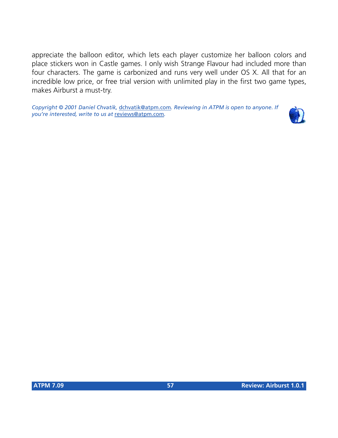appreciate the balloon editor, which lets each player customize her balloon colors and place stickers won in Castle games. I only wish Strange Flavour had included more than four characters. The game is carbonized and runs very well under OS X. All that for an incredible low price, or free trial version with unlimited play in the first two game types, makes Airburst a must-try.

*Copyright © 2001 Daniel Chvatik,* [dchvatik@atpm.com](mailto:dchvatik@atpm.com)*. Reviewing in ATPM is open to anyone. If you're interested, write to us at* [reviews@atpm.com](mailto:reviews@atpm.com)*.*

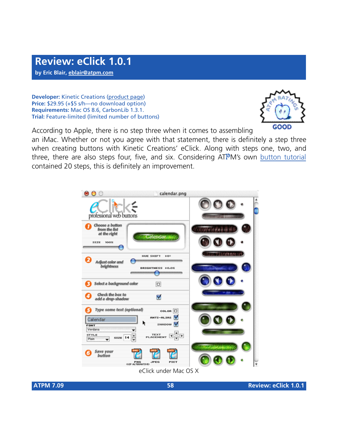**by Eric Blair, [eblair@atpm.com](mailto:eblair@atpm.com)**

**Developer:** Kinetic Creations [\(product page](http://www.kineticcreations.com/eclick/index.html)) **Price:** \$29.95 (+\$5 s/h—no download option) **Requirements:** Mac OS 8.6, CarbonLib 1.3.1. **Trial:** Feature-limited (limited number of buttons)



According to Apple, there is no step three when it comes to assembling

an iMac. Whether or not you agree with that statement, there is definitely a step three when creating buttons with Kinetic Creations' eClick. Along with steps one, two, and three, there are also steps four, five, and six. Considering ATPM's own [button tutorial](http://www.atpm.com/5.02/page9.shtml) contained 20 steps, this is definitely an improvement.



eClick under Mac OS X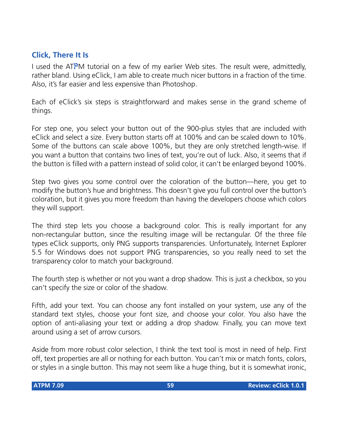### **Click, There It Is**

I used the ATPM tutorial on a few of my earlier Web sites. The result were, admittedly, rather bland. Using eClick, I am able to create much nicer buttons in a fraction of the time. Also, it's far easier and less expensive than Photoshop.

Each of eClick's six steps is straightforward and makes sense in the grand scheme of things.

For step one, you select your button out of the 900-plus styles that are included with eClick and select a size. Every button starts off at 100% and can be scaled down to 10%. Some of the buttons can scale above 100%, but they are only stretched length-wise. If you want a button that contains two lines of text, you're out of luck. Also, it seems that if the button is filled with a pattern instead of solid color, it can't be enlarged beyond 100%.

Step two gives you some control over the coloration of the button—here, you get to modify the button's hue and brightness. This doesn't give you full control over the button's coloration, but it gives you more freedom than having the developers choose which colors they will support.

The third step lets you choose a background color. This is really important for any non-rectangular button, since the resulting image will be rectangular. Of the three file types eClick supports, only PNG supports transparencies. Unfortunately, Internet Explorer 5.5 for Windows does not support PNG transparencies, so you really need to set the transparency color to match your background.

The fourth step is whether or not you want a drop shadow. This is just a checkbox, so you can't specify the size or color of the shadow.

Fifth, add your text. You can choose any font installed on your system, use any of the standard text styles, choose your font size, and choose your color. You also have the option of anti-aliasing your text or adding a drop shadow. Finally, you can move text around using a set of arrow cursors.

Aside from more robust color selection, I think the text tool is most in need of help. First off, text properties are all or nothing for each button. You can't mix or match fonts, colors, or styles in a single button. This may not seem like a huge thing, but it is somewhat ironic,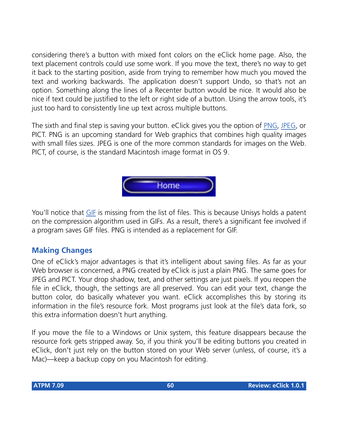considering there's a button with mixed font colors on the eClick home page. Also, the text placement controls could use some work. If you move the text, there's no way to get it back to the starting position, aside from trying to remember how much you moved the text and working backwards. The application doesn't support Undo, so that's not an option. Something along the lines of a Recenter button would be nice. It would also be nice if text could be justified to the left or right side of a button. Using the arrow tools, it's just too hard to consistently line up text across multiple buttons.

The sixth and final step is saving your button. eClick gives you the option of [PNG](http://www.atpm.com/6.12/graphicsandtheinternet.shtml), [JPEG,](http://atpm.com/6.06/graphicsandtheinternet.shtml) or PICT. PNG is an upcoming standard for Web graphics that combines high quality images with small files sizes. JPEG is one of the more common standards for images on the Web. PICT, of course, is the standard Macintosh image format in OS 9.



You'll notice that [GIF](http://www.atpm.com/6.08/graphicsandtheinternet.shtml) is missing from the list of files. This is because Unisys holds a patent on the compression algorithm used in GIFs. As a result, there's a significant fee involved if a program saves GIF files. PNG is intended as a replacement for GIF.

### **Making Changes**

One of eClick's major advantages is that it's intelligent about saving files. As far as your Web browser is concerned, a PNG created by eClick is just a plain PNG. The same goes for JPEG and PICT. Your drop shadow, text, and other settings are just pixels. If you reopen the file in eClick, though, the settings are all preserved. You can edit your text, change the button color, do basically whatever you want. eClick accomplishes this by storing its information in the file's resource fork. Most programs just look at the file's data fork, so this extra information doesn't hurt anything.

If you move the file to a Windows or Unix system, this feature disappears because the resource fork gets stripped away. So, if you think you'll be editing buttons you created in eClick, don't just rely on the button stored on your Web server (unless, of course, it's a Mac)—keep a backup copy on you Macintosh for editing.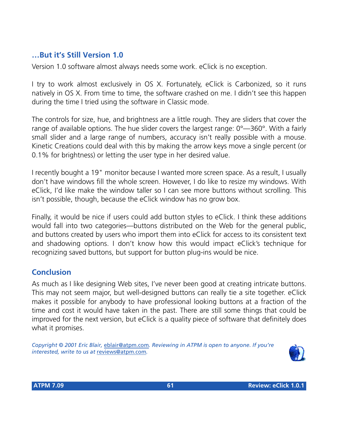### **…But it's Still Version 1.0**

Version 1.0 software almost always needs some work. eClick is no exception.

I try to work almost exclusively in OS X. Fortunately, eClick is Carbonized, so it runs natively in OS X. From time to time, the software crashed on me. I didn't see this happen during the time I tried using the software in Classic mode.

The controls for size, hue, and brightness are a little rough. They are sliders that cover the range of available options. The hue slider covers the largest range: 0°—360°. With a fairly small slider and a large range of numbers, accuracy isn't really possible with a mouse. Kinetic Creations could deal with this by making the arrow keys move a single percent (or 0.1% for brightness) or letting the user type in her desired value.

I recently bought a 19" monitor because I wanted more screen space. As a result, I usually don't have windows fill the whole screen. However, I do like to resize my windows. With eClick, I'd like make the window taller so I can see more buttons without scrolling. This isn't possible, though, because the eClick window has no grow box.

Finally, it would be nice if users could add button styles to eClick. I think these additions would fall into two categories—buttons distributed on the Web for the general public, and buttons created by users who import them into eClick for access to its consistent text and shadowing options. I don't know how this would impact eClick's technique for recognizing saved buttons, but support for button plug-ins would be nice.

### **Conclusion**

As much as I like designing Web sites, I've never been good at creating intricate buttons. This may not seem major, but well-designed buttons can really tie a site together. eClick makes it possible for anybody to have professional looking buttons at a fraction of the time and cost it would have taken in the past. There are still some things that could be improved for the next version, but eClick is a quality piece of software that definitely does what it promises.

*Copyright © 2001 Eric Blair,* [eblair@atpm.com](mailto:eblair@atpm.com)*. Reviewing in ATPM is open to anyone. If you're interested, write to us at* [reviews@atpm.com](mailto:reviews@atpm.com)*.*

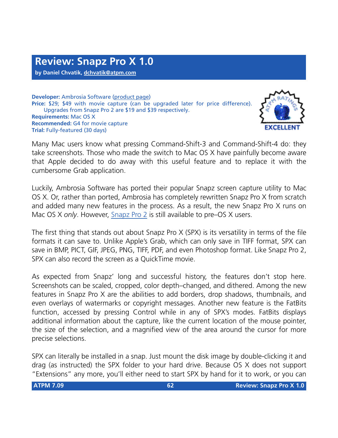**Developer:** Ambrosia Software [\(product page\)](http://www.AmbrosiaSW.com/utilities/snapzprox/) **Price:** \$29; \$49 with movie capture (can be upgraded later for price difference). Upgrades from Snapz Pro 2 are \$19 and \$39 respectively. **Requirements:** Mac OS X **Recommended:** G4 for movie capture **Trial:** Fully-featured (30 days)



Many Mac users know what pressing Command-Shift-3 and Command-Shift-4 do: they take screenshots. Those who made the switch to Mac OS X have painfully become aware that Apple decided to do away with this useful feature and to replace it with the cumbersome Grab application.

Luckily, Ambrosia Software has ported their popular Snapz screen capture utility to Mac OS X. Or, rather than ported, Ambrosia has completely rewritten Snapz Pro X from scratch and added many new features in the process. As a result, the new Snapz Pro X runs on Mac OS X *only*. However, [Snapz Pro 2](http://www.atpm.com/5.08/snapzpro2.shtml) is still available to pre–OS X users.

The first thing that stands out about Snapz Pro X (SPX) is its versatility in terms of the file formats it can save to. Unlike Apple's Grab, which can only save in TIFF format, SPX can save in BMP, PICT, GIF, JPEG, PNG, TIFF, PDF, and even Photoshop format. Like Snapz Pro 2, SPX can also record the screen as a QuickTime movie.

As expected from Snapz' long and successful history, the features don't stop here. Screenshots can be scaled, cropped, color depth–changed, and dithered. Among the new features in Snapz Pro X are the abilities to add borders, drop shadows, thumbnails, and even overlays of watermarks or copyright messages. Another new feature is the FatBits function, accessed by pressing Control while in any of SPX's modes. FatBits displays additional information about the capture, like the current location of the mouse pointer, the size of the selection, and a magnified view of the area around the cursor for more precise selections.

SPX can literally be installed in a snap. Just mount the disk image by double-clicking it and drag (as instructed) the SPX folder to your hard drive. Because OS X does not support "Extensions" any more, you'll either need to start SPX by hand for it to work, or you can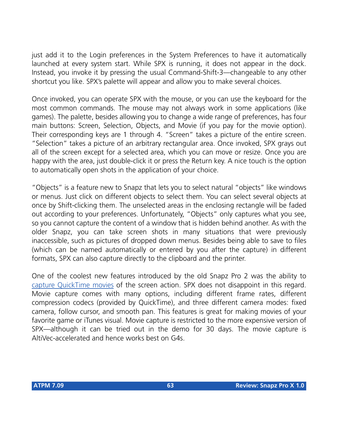just add it to the Login preferences in the System Preferences to have it automatically launched at every system start. While SPX is running, it does not appear in the dock. Instead, you invoke it by pressing the usual Command-Shift-3—changeable to any other shortcut you like. SPX's palette will appear and allow you to make several choices.

Once invoked, you can operate SPX with the mouse, or you can use the keyboard for the most common commands. The mouse may not always work in some applications (like games). The palette, besides allowing you to change a wide range of preferences, has four main buttons: Screen, Selection, Objects, and Movie (if you pay for the movie option). Their corresponding keys are 1 through 4. "Screen" takes a picture of the entire screen. "Selection" takes a picture of an arbitrary rectangular area. Once invoked, SPX grays out all of the screen except for a selected area, which you can move or resize. Once you are happy with the area, just double-click it or press the Return key. A nice touch is the option to automatically open shots in the application of your choice.

"Objects" is a feature new to Snapz that lets you to select natural "objects" like windows or menus. Just click on different objects to select them. You can select several objects at once by Shift-clicking them. The unselected areas in the enclosing rectangle will be faded out according to your preferences. Unfortunately, "Objects" only captures what you see, so you cannot capture the content of a window that is hidden behind another. As with the older Snapz, you can take screen shots in many situations that were previously inaccessible, such as pictures of dropped down menus. Besides being able to save to files (which can be named automatically or entered by you after the capture) in different formats, SPX can also capture directly to the clipboard and the printer.

One of the coolest new features introduced by the old Snapz Pro 2 was the ability to [capture QuickTime movies](http://www.atpm.com/7.09/images/snapz-itunes-movie.mov) of the screen action. SPX does not disappoint in this regard. Movie capture comes with many options, including different frame rates, different compression codecs (provided by QuickTime), and three different camera modes: fixed camera, follow cursor, and smooth pan. This features is great for making movies of your favorite game or iTunes visual. Movie capture is restricted to the more expensive version of SPX—although it can be tried out in the demo for 30 days. The movie capture is AltiVec-accelerated and hence works best on G4s.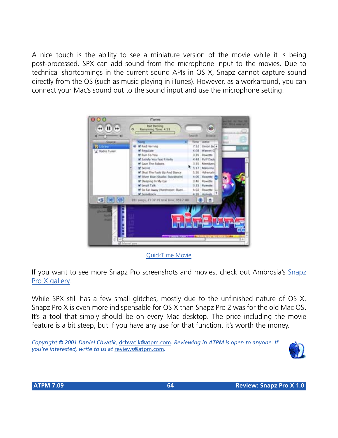A nice touch is the ability to see a miniature version of the movie while it is being post-processed. SPX can add sound from the microphone input to the movies. Due to technical shortcomings in the current sound APIs in OS X, Snapz cannot capture sound directly from the OS (such as music playing in iTunes). However, as a workaround, you can connect your Mac's sound out to the sound input and use the microphone setting.



[QuickTime Movie](http://www.atpm.com/7.09/images/snapz-itunes-movie.mov)

If you want to see more Snapz Pro screenshots and movies, check out Ambrosia's [Snapz](http://www.AmbrosiaSW.com/utilities/snapzprox/screenshots.html) [Pro X gallery.](http://www.AmbrosiaSW.com/utilities/snapzprox/screenshots.html)

While SPX still has a few small glitches, mostly due to the unfinished nature of OS X, Snapz Pro X is even more indispensable for OS X than Snapz Pro 2 was for the old Mac OS. It's a tool that simply should be on every Mac desktop. The price including the movie feature is a bit steep, but if you have any use for that function, it's worth the money.

*Copyright © 2001 Daniel Chvatik,* [dchvatik@atpm.com](mailto:dchvatik@atpm.com)*. Reviewing in ATPM is open to anyone. If you're interested, write to us at* [reviews@atpm.com](mailto:reviews@atpm.com)*.*

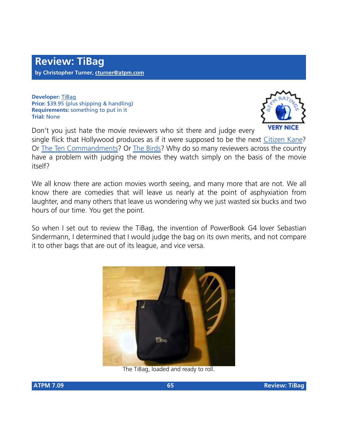**Developer:** [TiBag](http://www.tibag.com) **Price:** \$39.95 (plus shipping & handling) **Requirements:** something to put in it **Trial:** None



Don't you just hate the movie reviewers who sit there and judge every single flick that Hollywood produces as if it were supposed to be the next [Citizen Kane?](http://us.imdb.com/Title?0033467) Or [The Ten Commandments?](http://us.imdb.com/Title?0049833) Or [The Birds](http://us.imdb.com/Title?0056869)? Why do so many reviewers across the country have a problem with judging the movies they watch simply on the basis of the movie itself?

We all know there are action movies worth seeing, and many more that are not. We all know there are comedies that will leave us nearly at the point of asphyxiation from laughter, and many others that leave us wondering why we just wasted six bucks and two hours of our time. You get the point.

So when I set out to review the TiBag, the invention of PowerBook G4 lover Sebastian Sindermann, I determined that I would judge the bag on its own merits, and not compare it to other bags that are out of its league, and vice versa.



The TiBag, loaded and ready to roll.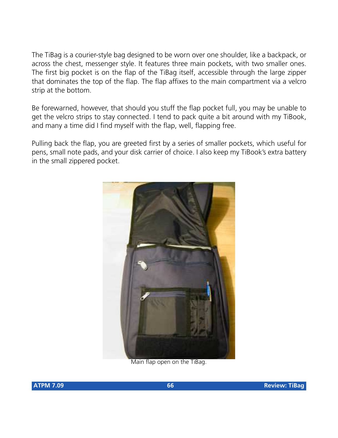The TiBag is a courier-style bag designed to be worn over one shoulder, like a backpack, or across the chest, messenger style. It features three main pockets, with two smaller ones. The first big pocket is on the flap of the TiBag itself, accessible through the large zipper that dominates the top of the flap. The flap affixes to the main compartment via a velcro strip at the bottom.

Be forewarned, however, that should you stuff the flap pocket full, you may be unable to get the velcro strips to stay connected. I tend to pack quite a bit around with my TiBook, and many a time did I find myself with the flap, well, flapping free.

Pulling back the flap, you are greeted first by a series of smaller pockets, which useful for pens, small note pads, and your disk carrier of choice. I also keep my TiBook's extra battery in the small zippered pocket.



Main flap open on the TiBag.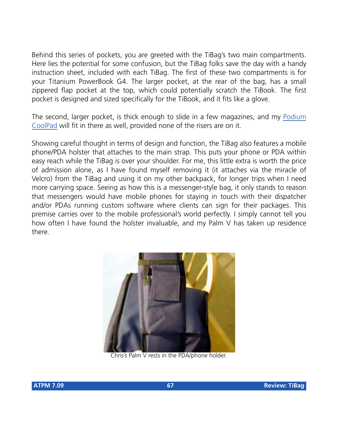Behind this series of pockets, you are greeted with the TiBag's two main compartments. Here lies the potential for some confusion, but the TiBag folks save the day with a handy instruction sheet, included with each TiBag. The first of these two compartments is for your Titanium PowerBook G4. The larger pocket, at the rear of the bag, has a small zippered flap pocket at the top, which could potentially scratch the TiBook. The first pocket is designed and sized specifically for the TiBook, and it fits like a glove.

The second, larger pocket, is thick enough to slide in a few magazines, and my [Podium](http://www.atpm.com/7.08/coolpad.shtml) [CoolPad](http://www.atpm.com/7.08/coolpad.shtml) will fit in there as well, provided none of the risers are on it.

Showing careful thought in terms of design and function, the TiBag also features a mobile phone/PDA holster that attaches to the main strap. This puts your phone or PDA within easy reach while the TiBag is over your shoulder. For me, this little extra is worth the price of admission alone, as I have found myself removing it (it attaches via the miracle of Velcro) from the TiBag and using it on my other backpack, for longer trips when I need more carrying space. Seeing as how this is a messenger-style bag, it only stands to reason that messengers would have mobile phones for staying in touch with their dispatcher and/or PDAs running custom software where clients can sign for their packages. This premise carries over to the mobile professional's world perfectly. I simply cannot tell you how often I have found the holster invaluable, and my Palm V has taken up residence there.



Chris's Palm V rests in the PDA/phone holder.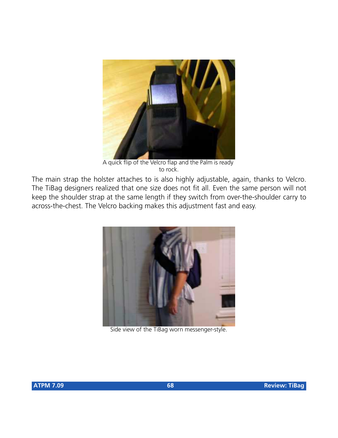

A quick flip of the Velcro flap and the Palm is ready to rock.

The main strap the holster attaches to is also highly adjustable, again, thanks to Velcro. The TiBag designers realized that one size does not fit all. Even the same person will not keep the shoulder strap at the same length if they switch from over-the-shoulder carry to across-the-chest. The Velcro backing makes this adjustment fast and easy.



Side view of the TiBag worn messenger-style.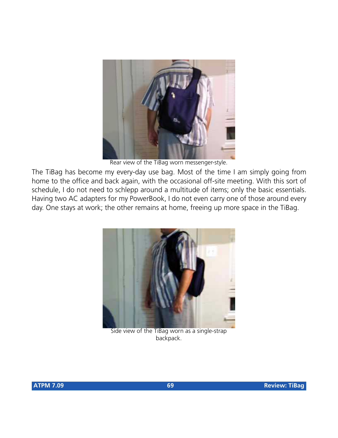

Rear view of the TiBag worn messenger-style.

The TiBag has become my every-day use bag. Most of the time I am simply going from home to the office and back again, with the occasional off-site meeting. With this sort of schedule, I do not need to schlepp around a multitude of items; only the basic essentials. Having two AC adapters for my PowerBook, I do not even carry one of those around every day. One stays at work; the other remains at home, freeing up more space in the TiBag.



Side view of the TiBag worn as a single-strap backpack.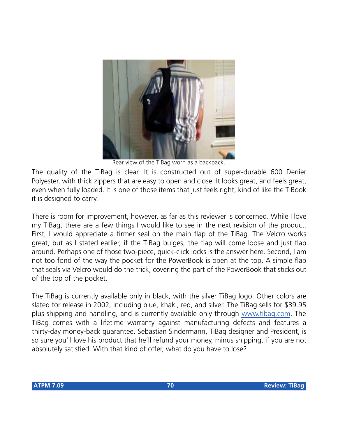

Rear view of the TiBag worn as a backpack.

The quality of the TiBag is clear. It is constructed out of super-durable 600 Denier Polyester, with thick zippers that are easy to open and close. It looks great, and feels great, even when fully loaded. It is one of those items that just feels right, kind of like the TiBook it is designed to carry.

There is room for improvement, however, as far as this reviewer is concerned. While I love my TiBag, there are a few things I would like to see in the next revision of the product. First, I would appreciate a firmer seal on the main flap of the TiBag. The Velcro works great, but as I stated earlier, if the TiBag bulges, the flap will come loose and just flap around. Perhaps one of those two-piece, quick-click locks is the answer here. Second, I am not too fond of the way the pocket for the PowerBook is open at the top. A simple flap that seals via Velcro would do the trick, covering the part of the PowerBook that sticks out of the top of the pocket.

The TiBag is currently available only in black, with the silver TiBag logo. Other colors are slated for release in 2002, including blue, khaki, red, and silver. The TiBag sells for \$39.95 plus shipping and handling, and is currently available only through [www.tibag.com](http://www.tibag.com). The TiBag comes with a lifetime warranty against manufacturing defects and features a thirty-day money-back guarantee. Sebastian Sindermann, TiBag designer and President, is so sure you'll love his product that he'll refund your money, minus shipping, if you are not absolutely satisfied. With that kind of offer, what do you have to lose?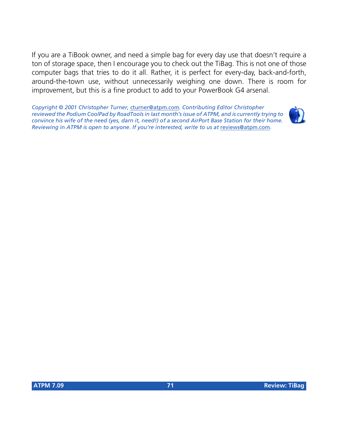If you are a TiBook owner, and need a simple bag for every day use that doesn't require a ton of storage space, then I encourage you to check out the TiBag. This is not one of those computer bags that tries to do it all. Rather, it is perfect for every-day, back-and-forth, around-the-town use, without unnecessarily weighing one down. There is room for improvement, but this is a fine product to add to your PowerBook G4 arsenal.

*Copyright © 2001 Christopher Turner,* [cturner@atpm.com](mailto:jens@grabenstein.de)*. Contributing Editor Christopher reviewed the Podium CoolPad by RoadTools in last month's issue of ATPM, and is currently trying to convince his wife of the need (yes, darn it, need!) of a second AirPort Base Station for their home. Reviewing in ATPM is open to anyone. If you're interested, write to us at* [reviews@atpm.com](mailto:reviews@atpm.com)*.*

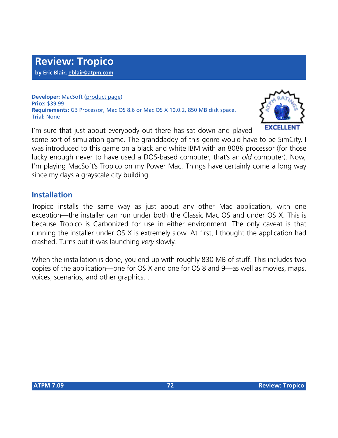**Developer:** MacSoft ([product page\)](http://www.poptop.com/Tropico.htm) **Price:** \$39.99 **Requirements:** G3 Processor, Mac OS 8.6 or Mac OS X 10.0.2, 850 MB disk space. **Trial:** None



I'm sure that just about everybody out there has sat down and played some sort of simulation game. The granddaddy of this genre would have to be SimCity. I was introduced to this game on a black and white IBM with an 8086 processor (for those lucky enough never to have used a DOS-based computer, that's an *old* computer). Now, I'm playing MacSoft's Tropico on my Power Mac. Things have certainly come a long way since my days a grayscale city building.

### **Installation**

Tropico installs the same way as just about any other Mac application, with one exception—the installer can run under both the Classic Mac OS and under OS X. This is because Tropico is Carbonized for use in either environment. The only caveat is that running the installer under OS X is extremely slow. At first, I thought the application had crashed. Turns out it was launching *very* slowly.

When the installation is done, you end up with roughly 830 MB of stuff. This includes two copies of the application—one for OS X and one for OS 8 and 9—as well as movies, maps, voices, scenarios, and other graphics. .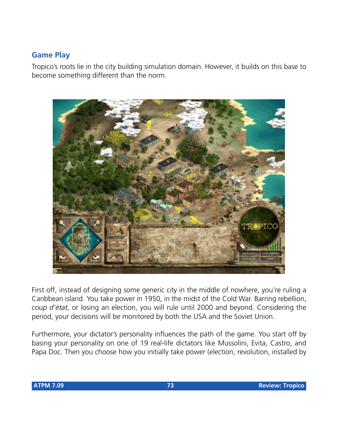#### **Game Play**

Tropico's roots lie in the city building simulation domain. However, it builds on this base to become something different than the norm.



First off, instead of designing some generic city in the middle of nowhere, you're ruling a Caribbean island. You take power in 1950, in the midst of the Cold War. Barring rebellion, *coup d'état*, or losing an election, you will rule until 2000 and beyond. Considering the period, your decisions will be monitored by both the USA and the Soviet Union.

Furthermore, your dictator's personality influences the path of the game. You start off by basing your personality on one of 19 real-life dictators like Mussolini, Evita, Castro, and Papa Doc. Then you choose how you initially take power (election, revolution, installed by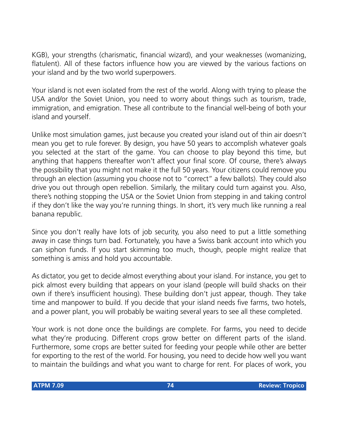KGB), your strengths (charismatic, financial wizard), and your weaknesses (womanizing, flatulent). All of these factors influence how you are viewed by the various factions on your island and by the two world superpowers.

Your island is not even isolated from the rest of the world. Along with trying to please the USA and/or the Soviet Union, you need to worry about things such as tourism, trade, immigration, and emigration. These all contribute to the financial well-being of both your island and yourself.

Unlike most simulation games, just because you created your island out of thin air doesn't mean you get to rule forever. By design, you have 50 years to accomplish whatever goals you selected at the start of the game. You can choose to play beyond this time, but anything that happens thereafter won't affect your final score. Of course, there's always the possibility that you might not make it the full 50 years. Your citizens could remove you through an election (assuming you choose not to "correct" a few ballots). They could also drive you out through open rebellion. Similarly, the military could turn against you. Also, there's nothing stopping the USA or the Soviet Union from stepping in and taking control if they don't like the way you're running things. In short, it's very much like running a real banana republic.

Since you don't really have lots of job security, you also need to put a little something away in case things turn bad. Fortunately, you have a Swiss bank account into which you can siphon funds. If you start skimming too much, though, people might realize that something is amiss and hold you accountable.

As dictator, you get to decide almost everything about your island. For instance, you get to pick almost every building that appears on your island (people will build shacks on their own if there's insufficient housing). These building don't just appear, though. They take time and manpower to build. If you decide that your island needs five farms, two hotels, and a power plant, you will probably be waiting several years to see all these completed.

Your work is not done once the buildings are complete. For farms, you need to decide what they're producing. Different crops grow better on different parts of the island. Furthermore, some crops are better suited for feeding your people while other are better for exporting to the rest of the world. For housing, you need to decide how well you want to maintain the buildings and what you want to charge for rent. For places of work, you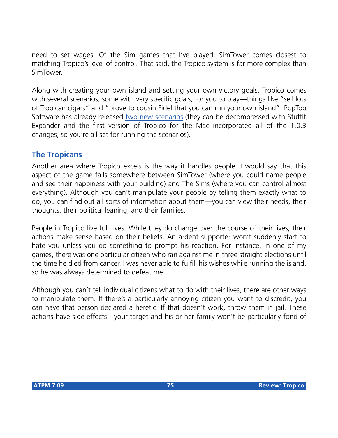need to set wages. Of the Sim games that I've played, SimTower comes closest to matching Tropico's level of control. That said, the Tropico system is far more complex than SimTower.

Along with creating your own island and setting your own victory goals, Tropico comes with several scenarios, some with very specific goals, for you to play—things like "sell lots of Tropican cigars" and "prove to cousin Fidel that you can run your own island". PopTop Software has already released [two new scenarios](http://www.poptop.com/Tropico.htm) (they can be decompressed with StuffIt Expander and the first version of Tropico for the Mac incorporated all of the 1.0.3 changes, so you're all set for running the scenarios).

#### **The Tropicans**

Another area where Tropico excels is the way it handles people. I would say that this aspect of the game falls somewhere between SimTower (where you could name people and see their happiness with your building) and The Sims (where you can control almost everything). Although you can't manipulate your people by telling them exactly what to do, you can find out all sorts of information about them—you can view their needs, their thoughts, their political leaning, and their families.

People in Tropico live full lives. While they do change over the course of their lives, their actions make sense based on their beliefs. An ardent supporter won't suddenly start to hate you unless you do something to prompt his reaction. For instance, in one of my games, there was one particular citizen who ran against me in three straight elections until the time he died from cancer. I was never able to fulfill his wishes while running the island, so he was always determined to defeat me.

Although you can't tell individual citizens what to do with their lives, there are other ways to manipulate them. If there's a particularly annoying citizen you want to discredit, you can have that person declared a heretic. If that doesn't work, throw them in jail. These actions have side effects—your target and his or her family won't be particularly fond of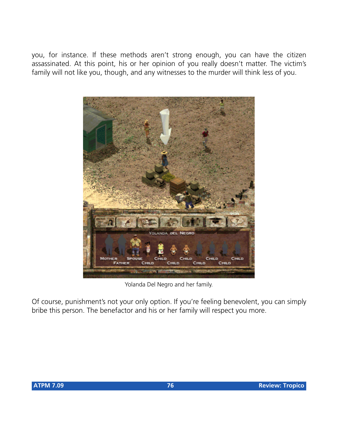you, for instance. If these methods aren't strong enough, you can have the citizen assassinated. At this point, his or her opinion of you really doesn't matter. The victim's family will not like you, though, and any witnesses to the murder will think less of you.



Yolanda Del Negro and her family.

Of course, punishment's not your only option. If you're feeling benevolent, you can simply bribe this person. The benefactor and his or her family will respect you more.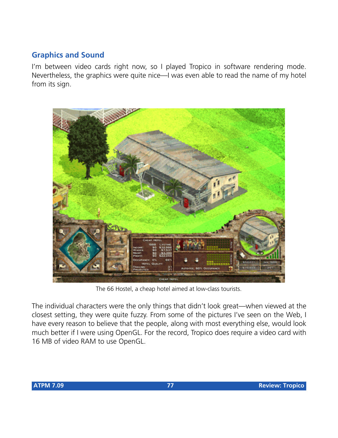#### **Graphics and Sound**

I'm between video cards right now, so I played Tropico in software rendering mode. Nevertheless, the graphics were quite nice—I was even able to read the name of my hotel from its sign.



The 66 Hostel, a cheap hotel aimed at low-class tourists.

The individual characters were the only things that didn't look great—when viewed at the closest setting, they were quite fuzzy. From some of the pictures I've seen on the Web, I have every reason to believe that the people, along with most everything else, would look much better if I were using OpenGL. For the record, Tropico does require a video card with 16 MB of video RAM to use OpenGL.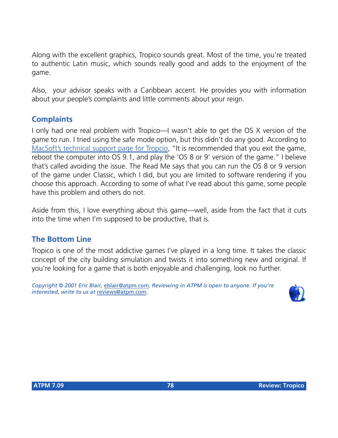Along with the excellent graphics, Tropico sounds great. Most of the time, you're treated to authentic Latin music, which sounds really good and adds to the enjoyment of the game.

Also, your advisor speaks with a Caribbean accent. He provides you with information about your people's complaints and little comments about your reign.

#### **Complaints**

I only had one real problem with Tropico—I wasn't able to get the OS X version of the game to run. I tried using the safe mode option, but this didn't do any good. According to [MacSoft's technical support page for Tropcio](http://www.ina-support.com/faq/tropico_mac.asp), "It is recommended that you exit the game, reboot the computer into OS 9.1, and play the 'OS 8 or 9' version of the game." I believe that's called avoiding the issue. The Read Me says that you can run the OS 8 or 9 version of the game under Classic, which I did, but you are limited to software rendering if you choose this approach. According to some of what I've read about this game, some people have this problem and others do not.

Aside from this, I love everything about this game—well, aside from the fact that it cuts into the time when I'm supposed to be productive, that is.

#### **The Bottom Line**

Tropico is one of the most addictive games I've played in a long time. It takes the classic concept of the city building simulation and twists it into something new and original. If you're looking for a game that is both enjoyable and challenging, look no further.

*Copyright © 2001 Eric Blair,* [eblair@atpm.com](mailto:eblair@atpm.com)*. Reviewing in ATPM is open to anyone. If you're interested, write to us at* [reviews@atpm.com](mailto:reviews@atpm.com)*.*

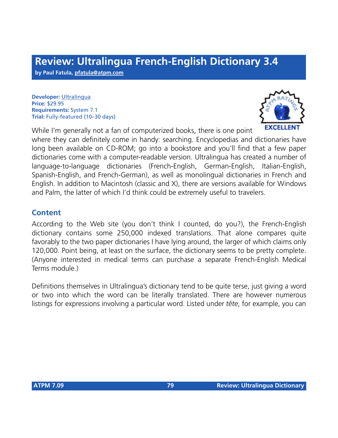# **Review: Ultralingua French-English Dictionary 3.4**

**by Paul Fatula, [pfatula@atpm.com](mailto:pfatula@atpm.com)**

**Developer:** [Ultralingua](http://www.ultralingua.com) **Price:** \$29.95 **Requirements:** System 7.1 **Trial:** Fully-featured (10–30 days)



While I'm generally not a fan of computerized books, there is one point where they can definitely come in handy: searching. Encyclopedias and dictionaries have long been available on CD-ROM; go into a bookstore and you'll find that a few paper dictionaries come with a computer-readable version. Ultralingua has created a number of language-to-language dictionaries (French-English, German-English, Italian-English,

Spanish-English, and French-German), as well as monolingual dictionaries in French and English. In addition to Macintosh (classic and X), there are versions available for Windows and Palm, the latter of which I'd think could be extremely useful to travelers.

#### **Content**

According to the Web site (you don't think I counted, do you?), the French-English dictionary contains some 250,000 indexed translations. That alone compares quite favorably to the two paper dictionaries I have lying around, the larger of which claims only 120,000. Point being, at least on the surface, the dictionary seems to be pretty complete. (Anyone interested in medical terms can purchase a separate French-English Medical Terms module.)

Definitions themselves in Ultralingua's dictionary tend to be quite terse, just giving a word or two into which the word can be literally translated. There are however numerous listings for expressions involving a particular word. Listed under *tête*, for example, you can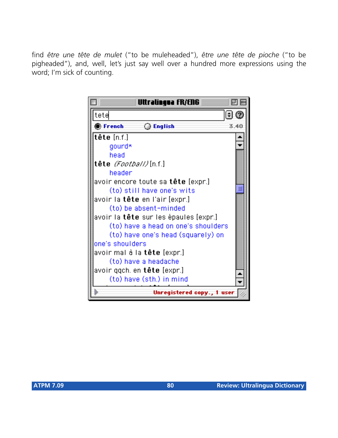find *être une tête de mulet* ("to be muleheaded"), *être une tête de pioche* ("to be pigheaded"), and, well, let's just say well over a hundred more expressions using the word; I'm sick of counting.

| Uttralingua fR/EN6                           |      |  |
|----------------------------------------------|------|--|
| tete                                         |      |  |
| $\bullet$ French<br>◯ English                | 3.40 |  |
| <b>tête</b> [n.f.]                           |      |  |
| gourd*                                       |      |  |
| head                                         |      |  |
| tête <i>(Faatball)</i> [n.f.]                |      |  |
| header                                       |      |  |
| avoir encore toute sa <b>tête</b> [expr.]    |      |  |
| (to) still have one's wits                   |      |  |
| avoir la <b>tête</b> en l'air [expr.]        |      |  |
| (to) be absent-minded                        |      |  |
| avoir la <b>tête</b> sur les épaules [expr.] |      |  |
| (to) have a head on one's shoulders          |      |  |
| (to) have one's head (squarely) on           |      |  |
| one's shoulders                              |      |  |
| avoir mal à la <b>tête</b> [expr.]           |      |  |
| (to) have a headache                         |      |  |
| avoir qqch. en <b>tête</b> [expr.]           |      |  |
| (to) have (sth.) in mind                     |      |  |
| Unregistered copy., 1 user                   |      |  |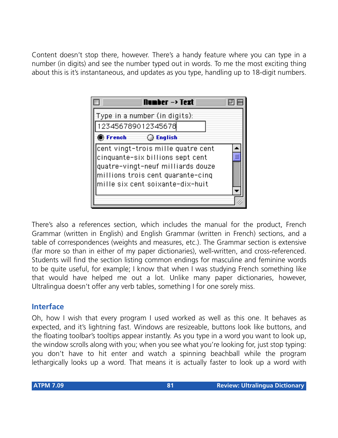Content doesn't stop there, however. There's a handy feature where you can type in a number (in digits) and see the number typed out in words. To me the most exciting thing about this is it's instantaneous, and updates as you type, handling up to 18-digit numbers.



There's also a references section, which includes the manual for the product, French Grammar (written in English) and English Grammar (written in French) sections, and a table of correspondences (weights and measures, etc.). The Grammar section is extensive (far more so than in either of my paper dictionaries), well-written, and cross-referenced. Students will find the section listing common endings for masculine and feminine words to be quite useful, for example; I know that when I was studying French something like that would have helped me out a lot. Unlike many paper dictionaries, however, Ultralingua doesn't offer any verb tables, something I for one sorely miss.

#### **Interface**

Oh, how I wish that every program I used worked as well as this one. It behaves as expected, and it's lightning fast. Windows are resizeable, buttons look like buttons, and the floating toolbar's tooltips appear instantly. As you type in a word you want to look up, the window scrolls along with you; when you see what you're looking for, just stop typing: you don't have to hit enter and watch a spinning beachball while the program lethargically looks up a word. That means it is actually faster to look up a word with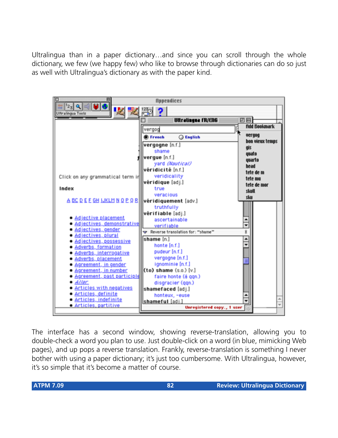Ultralingua than in a paper dictionary…and since you can scroll through the whole dictionary, we few (we happy few) who like to browse through dictionaries can do so just as well with Ultralingua's dictionary as with the paper kind.



The interface has a second window, showing reverse-translation, allowing you to double-check a word you plan to use. Just double-click on a word (in blue, mimicking Web pages), and up pops a reverse translation. Frankly, reverse-translation is something I never bother with using a paper dictionary; it's just too cumbersome. With Ultralingua, however, it's so simple that it's become a matter of course.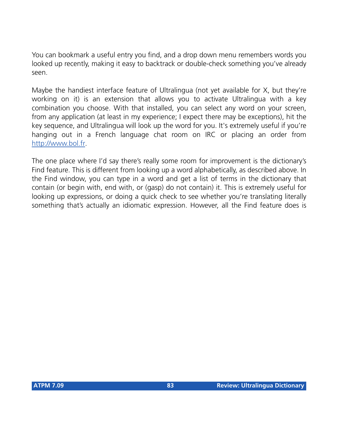You can bookmark a useful entry you find, and a drop down menu remembers words you looked up recently, making it easy to backtrack or double-check something you've already seen.

Maybe the handiest interface feature of Ultralingua (not yet available for X, but they're working on it) is an extension that allows you to activate Ultralingua with a key combination you choose. With that installed, you can select any word on your screen, from any application (at least in my experience; I expect there may be exceptions), hit the key sequence, and Ultralingua will look up the word for you. It's extremely useful if you're hanging out in a French language chat room on IRC or placing an order from <http://www.bol.fr>.

The one place where I'd say there's really some room for improvement is the dictionary's Find feature. This is different from looking up a word alphabetically, as described above. In the Find window, you can type in a word and get a list of terms in the dictionary that contain (or begin with, end with, or (gasp) do not contain) it. This is extremely useful for looking up expressions, or doing a quick check to see whether you're translating literally something that's actually an idiomatic expression. However, all the Find feature does is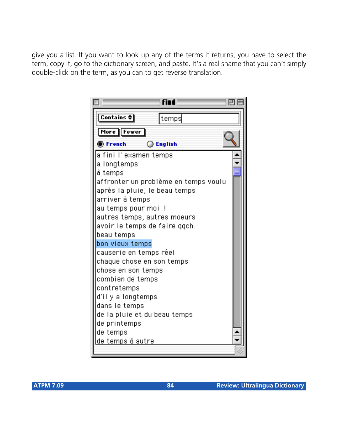give you a list. If you want to look up any of the terms it returns, you have to select the term, copy it, go to the dictionary screen, and paste. It's a real shame that you can't simply double-click on the term, as you can to get reverse translation.

| <b>find</b>                          |  |
|--------------------------------------|--|
| Contains $\triangleq$<br> temps      |  |
| More Fewer                           |  |
| ◯ English<br><b>O</b> French         |  |
| a fini l' examen temps               |  |
| a longtemps                          |  |
| à temps                              |  |
| affronter un problème en temps voulu |  |
| après la pluie, le beau temps        |  |
| arriver à temps                      |  |
| au temps pour moi !                  |  |
| autres temps, autres moeurs          |  |
| avoir le temps de faire qqch.        |  |
| beau temps                           |  |
| bon vieux temps                      |  |
| causerie en temps réel               |  |
| chaque chose en son temps            |  |
| chose en son temps                   |  |
| combien de temps<br>contretemps      |  |
| d'il y a longtemps                   |  |
| dans le temps                        |  |
| de la pluie et du beau temps         |  |
| de printemps                         |  |
| de temps                             |  |
| <u>lde temps à autre</u>             |  |
|                                      |  |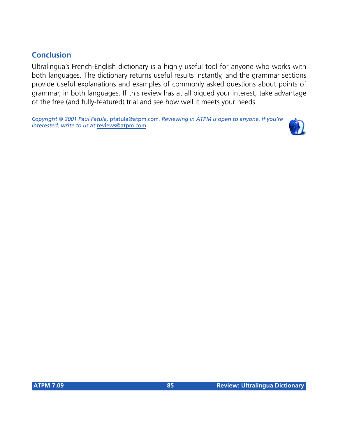# **Conclusion**

Ultralingua's French-English dictionary is a highly useful tool for anyone who works with both languages. The dictionary returns useful results instantly, and the grammar sections provide useful explanations and examples of commonly asked questions about points of grammar, in both languages. If this review has at all piqued your interest, take advantage of the free (and fully-featured) trial and see how well it meets your needs.

*Copyright © 2001 Paul Fatula,* [pfatula@atpm.com](mailto:pfatula@atpm.com)*. Reviewing in ATPM is open to anyone. If you're interested, write to us at* [reviews@atpm.com](mailto:reviews@atpm.com)*.*

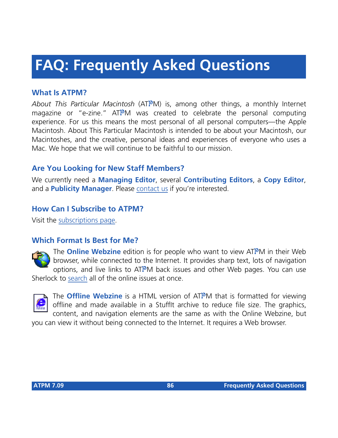# **FAQ: Frequently Asked Questions**

#### **What Is ATPM?**

*About This Particular Macintosh* (ATPM) is, among other things, a monthly Internet magazine or "e-zine." ATPM was created to celebrate the personal computing experience. For us this means the most personal of all personal computers—the Apple Macintosh. About This Particular Macintosh is intended to be about your Macintosh, our Macintoshes, and the creative, personal ideas and experiences of everyone who uses a Mac. We hope that we will continue to be faithful to our mission.

# **Are You Looking for New Staff Members?**

We currently need a **Managing Editor**, several **Contributing Editors**, a **Copy Editor**, and a **Publicity Manager**. Please [contact us](mailto:editor@atpm.com) if you're interested.

#### **How Can I Subscribe to ATPM?**

Visit the [subscriptions page](http://www.atpm.com/subscribe).

#### **Which Format Is Best for Me?**



The **Online Webzine** edition is for people who want to view ATPM in their Web browser, while connected to the Internet. It provides sharp text, lots of navigation options, and live links to ATPM back issues and other Web pages. You can use Sherlock to [search](http://www.atpm.com/search) all of the online issues at once.



The **Offline Webzine** is a HTML version of ATPM that is formatted for viewing offline and made available in a StuffIt archive to reduce file size. The graphics, content, and navigation elements are the same as with the Online Webzine, but

you can view it without being connected to the Internet. It requires a Web browser.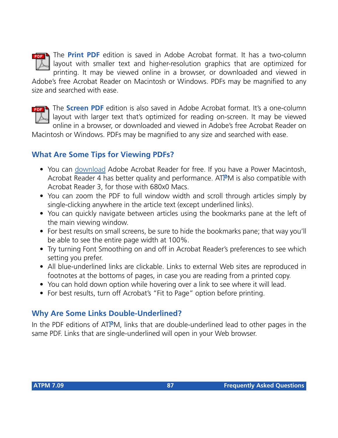

The **Print PDF** edition is saved in Adobe Acrobat format. It has a two-column layout with smaller text and higher-resolution graphics that are optimized for printing. It may be viewed online in a browser, or downloaded and viewed in

Adobe's free Acrobat Reader on Macintosh or Windows. PDFs may be magnified to any size and searched with ease.



The **Screen PDF** edition is also saved in Adobe Acrobat format. It's a one-column layout with larger text that's optimized for reading on-screen. It may be viewed online in a browser, or downloaded and viewed in Adobe's free Acrobat Reader on

Macintosh or Windows. PDFs may be magnified to any size and searched with ease.

#### **What Are Some Tips for Viewing PDFs?**

- You can [download](http://www.adobe.com/prodindex/acrobat/readstep.html) Adobe Acrobat Reader for free. If you have a Power Macintosh, Acrobat Reader 4 has better quality and performance. ATPM is also compatible with Acrobat Reader 3, for those with 680x0 Macs.
- You can zoom the PDF to full window width and scroll through articles simply by single-clicking anywhere in the article text (except underlined links).
- You can quickly navigate between articles using the bookmarks pane at the left of the main viewing window.
- For best results on small screens, be sure to hide the bookmarks pane; that way you'll be able to see the entire page width at 100%.
- Try turning Font Smoothing on and off in Acrobat Reader's preferences to see which setting you prefer.
- All blue-underlined links are clickable. Links to external Web sites are reproduced in footnotes at the bottoms of pages, in case you are reading from a printed copy.
- You can hold down option while hovering over a link to see where it will lead.
- For best results, turn off Acrobat's "Fit to Page" option before printing.

# **Why Are Some Links Double-Underlined?**

In the PDF editions of ATPM, links that are double-underlined lead to other pages in the same PDF. Links that are single-underlined will open in your Web browser.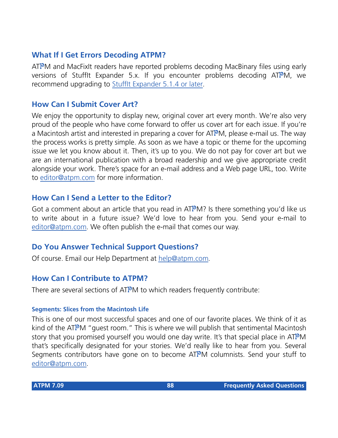#### **What If I Get Errors Decoding ATPM?**

ATPM and MacFixIt readers have reported problems decoding MacBinary files using early versions of Stufflt Expander 5.x. If you encounter problems decoding ATPM, we recommend upgrading to [StuffIt Expander 5.1.4 or later](http://www.aladdinsys.com/expander/index.html).

#### **How Can I Submit Cover Art?**

We enjoy the opportunity to display new, original cover art every month. We're also very proud of the people who have come forward to offer us cover art for each issue. If you're a Macintosh artist and interested in preparing a cover for ATPM, please e-mail us. The way the process works is pretty simple. As soon as we have a topic or theme for the upcoming issue we let you know about it. Then, it's up to you. We do not pay for cover art but we are an international publication with a broad readership and we give appropriate credit alongside your work. There's space for an e-mail address and a Web page URL, too. Write to [editor@atpm.com](mailto:editor@atpm.com) for more information.

#### **How Can I Send a Letter to the Editor?**

Got a comment about an article that you read in  $ATPM$ ? Is there something you'd like us to write about in a future issue? We'd love to hear from you. Send your e-mail to [editor@atpm.com.](mailto:editor@atpm.com) We often publish the e-mail that comes our way.

#### **Do You Answer Technical Support Questions?**

Of course. Email our Help Department at [help@atpm.com](mailto:help@atpm.com).

#### **How Can I Contribute to ATPM?**

There are several sections of ATPM to which readers frequently contribute:

#### **Segments: Slices from the Macintosh Life**

This is one of our most successful spaces and one of our favorite places. We think of it as kind of the ATPM "guest room." This is where we will publish that sentimental Macintosh story that you promised yourself you would one day write. It's that special place in ATPM that's specifically designated for your stories. We'd really like to hear from you. Several Segments contributors have gone on to become ATPM columnists. Send your stuff to [editor@atpm.com.](mailto:editor@atpm.com)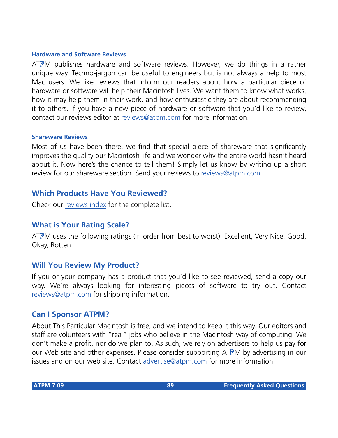#### **Hardware and Software Reviews**

ATPM publishes hardware and software reviews. However, we do things in a rather unique way. Techno-jargon can be useful to engineers but is not always a help to most Mac users. We like reviews that inform our readers about how a particular piece of hardware or software will help their Macintosh lives. We want them to know what works, how it may help them in their work, and how enthusiastic they are about recommending it to others. If you have a new piece of hardware or software that you'd like to review, contact our reviews editor at [reviews@atpm.com](mailto:reviews@atpm.com) for more information.

#### **Shareware Reviews**

Most of us have been there; we find that special piece of shareware that significantly improves the quality our Macintosh life and we wonder why the entire world hasn't heard about it. Now here's the chance to tell them! Simply let us know by writing up a short review for our shareware section. Send your reviews to [reviews@atpm.com](mailto:reviews@atpm.com).

#### **Which Products Have You Reviewed?**

Check our [reviews index](http://www.atpm.com/reviews) for the complete list.

#### **What is Your Rating Scale?**

ATPM uses the following ratings (in order from best to worst): Excellent, Very Nice, Good, Okay, Rotten.

#### **Will You Review My Product?**

If you or your company has a product that you'd like to see reviewed, send a copy our way. We're always looking for interesting pieces of software to try out. Contact [reviews@atpm.com](mailto:reviews@atpm.com) for shipping information.

#### **Can I Sponsor ATPM?**

About This Particular Macintosh is free, and we intend to keep it this way. Our editors and staff are volunteers with "real" jobs who believe in the Macintosh way of computing. We don't make a profit, nor do we plan to. As such, we rely on advertisers to help us pay for our Web site and other expenses. Please consider supporting ATPM by advertising in our issues and on our web site. Contact<advertise@atpm.com>for more information.